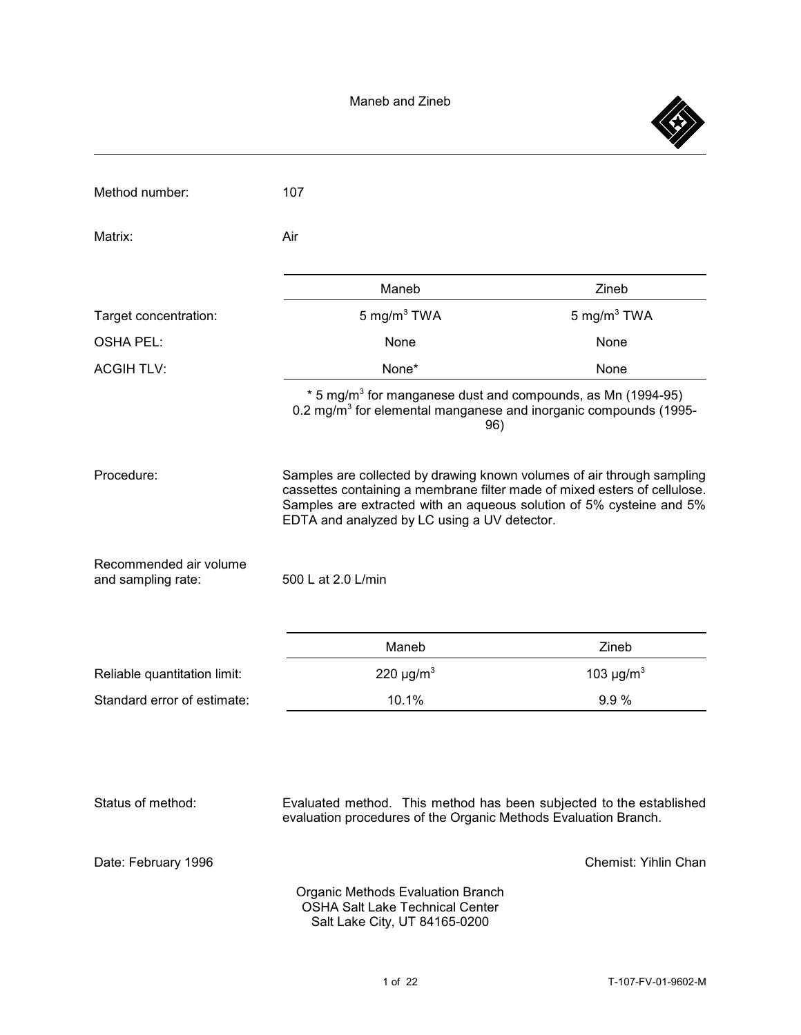

| Method number:                               | 107                                                                                                                                                                                                                                                                         |                            |
|----------------------------------------------|-----------------------------------------------------------------------------------------------------------------------------------------------------------------------------------------------------------------------------------------------------------------------------|----------------------------|
| Matrix:                                      | Air                                                                                                                                                                                                                                                                         |                            |
|                                              | Maneb                                                                                                                                                                                                                                                                       | Zineb                      |
| Target concentration:                        | 5 mg/m $3$ TWA                                                                                                                                                                                                                                                              | 5 mg/m $3$ TWA             |
| <b>OSHA PEL:</b>                             | None                                                                                                                                                                                                                                                                        | None                       |
| <b>ACGIH TLV:</b>                            | None*                                                                                                                                                                                                                                                                       | None                       |
|                                              | * 5 mg/m <sup>3</sup> for manganese dust and compounds, as Mn (1994-95)<br>0.2 mg/m <sup>3</sup> for elemental manganese and inorganic compounds (1995-<br>96)                                                                                                              |                            |
| Procedure:                                   | Samples are collected by drawing known volumes of air through sampling<br>cassettes containing a membrane filter made of mixed esters of cellulose.<br>Samples are extracted with an aqueous solution of 5% cysteine and 5%<br>EDTA and analyzed by LC using a UV detector. |                            |
| Recommended air volume<br>and sampling rate: | 500 L at 2.0 L/min                                                                                                                                                                                                                                                          |                            |
|                                              | Maneb                                                                                                                                                                                                                                                                       | Zineb                      |
| Reliable quantitation limit:                 | 220 $\mu$ g/m <sup>3</sup>                                                                                                                                                                                                                                                  | 103 $\mu$ g/m <sup>3</sup> |
| Standard error of estimate:                  | 10.1%                                                                                                                                                                                                                                                                       | 9.9%                       |
|                                              |                                                                                                                                                                                                                                                                             |                            |
| Status of method:                            | Evaluated method. This method has been subjected to the established<br>evaluation procedures of the Organic Methods Evaluation Branch.                                                                                                                                      |                            |
| Date: February 1996                          |                                                                                                                                                                                                                                                                             | Chemist: Yihlin Chan       |
|                                              | <b>Organic Methods Evaluation Branch</b><br><b>OSHA Salt Lake Technical Center</b><br>Salt Lake City, UT 84165-0200                                                                                                                                                         |                            |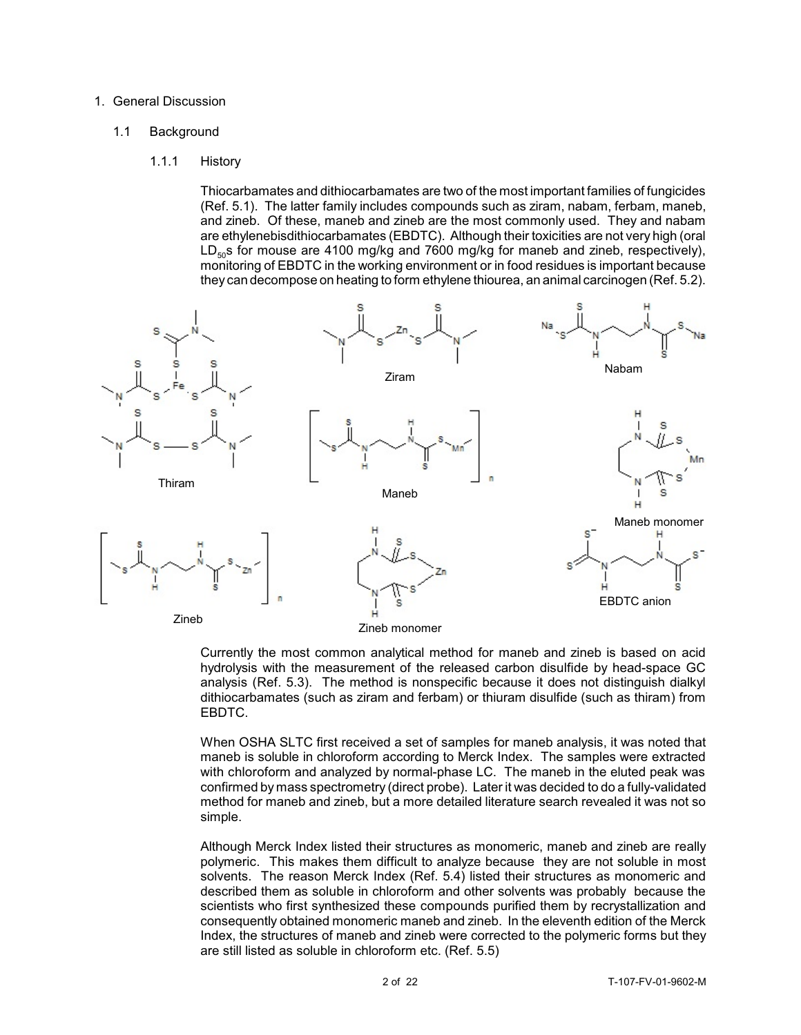#### 1. General Discussion

#### 1.1 Background

#### 1.1.1 History

Thiocarbamates and dithiocarbamates are two of the most important families of fungicides (Ref. 5.1). The latter family includes compounds such as ziram, nabam, ferbam, maneb, and zineb. Of these, maneb and zineb are the most commonly used. They and nabam are ethylenebisdithiocarbamates (EBDTC). Although their toxicities are not very high (oral  $LD<sub>50</sub>S$  for mouse are 4100 mg/kg and 7600 mg/kg for maneb and zineb, respectively), monitoring of EBDTC in the working environment or in food residues is important because they can decompose on heating to form ethylene thiourea, an animal carcinogen (Ref. 5.2).



Currently the most common analytical method for maneb and zineb is based on acid hydrolysis with the measurement of the released carbon disulfide by head-space GC analysis (Ref. 5.3). The method is nonspecific because it does not distinguish dialkyl dithiocarbamates (such as ziram and ferbam) or thiuram disulfide (such as thiram) from EBDTC.

When OSHA SLTC first received a set of samples for maneb analysis, it was noted that maneb is soluble in chloroform according to Merck Index. The samples were extracted with chloroform and analyzed by normal-phase LC. The maneb in the eluted peak was confirmed by mass spectrometry (direct probe). Later it was decided to do a fully-validated method for maneb and zineb, but a more detailed literature search revealed it was not so simple.

Although Merck Index listed their structures as monomeric, maneb and zineb are really polymeric. This makes them difficult to analyze because they are not soluble in most solvents. The reason Merck Index (Ref. 5.4) listed their structures as monomeric and described them as soluble in chloroform and other solvents was probably because the scientists who first synthesized these compounds purified them by recrystallization and consequently obtained monomeric maneb and zineb. In the eleventh edition of the Merck Index, the structures of maneb and zineb were corrected to the polymeric forms but they are still listed as soluble in chloroform etc. (Ref. 5.5)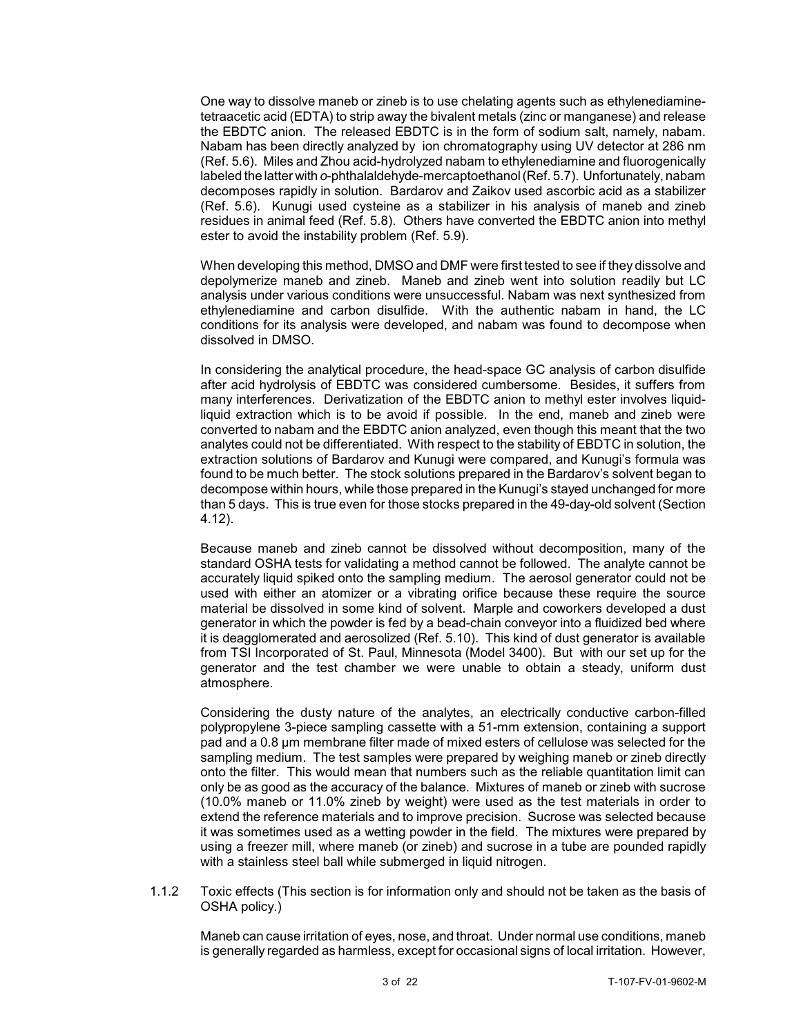One way to dissolve maneb or zineb is to use chelating agents such as ethylenediaminetetraacetic acid (EDTA) to strip away the bivalent metals (zinc or manganese) and release the EBDTC anion. The released EBDTC is in the form of sodium salt, namely, nabam. Nabam has been directly analyzed by ion chromatography using UV detector at 286 nm (Ref. 5.6). Miles and Zhou acid-hydrolyzed nabam to ethylenediamine and fluorogenically labeled the latter with *o*-phthalaldehyde-mercaptoethanol(Ref. 5.7). Unfortunately, nabam decomposes rapidly in solution. Bardarov and Zaikov used ascorbic acid as a stabilizer (Ref. 5.6). Kunugi used cysteine as a stabilizer in his analysis of maneb and zineb residues in animal feed (Ref. 5.8). Others have converted the EBDTC anion into methyl ester to avoid the instability problem (Ref. 5.9).

When developing this method, DMSO and DMF were first tested to see if they dissolve and depolymerize maneb and zineb. Maneb and zineb went into solution readily but LC analysis under various conditions were unsuccessful. Nabam was next synthesized from ethylenediamine and carbon disulfide. With the authentic nabam in hand, the LC conditions for its analysis were developed, and nabam was found to decompose when dissolved in DMSO.

In considering the analytical procedure, the head-space GC analysis of carbon disulfide after acid hydrolysis of EBDTC was considered cumbersome. Besides, it suffers from many interferences. Derivatization of the EBDTC anion to methyl ester involves liquidliquid extraction which is to be avoid if possible. In the end, maneb and zineb were converted to nabam and the EBDTC anion analyzed, even though this meant that the two analytes could not be differentiated. With respect to the stability of EBDTC in solution, the extraction solutions of Bardarov and Kunugi were compared, and Kunugi's formula was found to be much better. The stock solutions prepared in the Bardarov's solvent began to decompose within hours, while those prepared in the Kunugi's stayed unchanged for more than 5 days. This is true even for those stocks prepared in the 49-day-old solvent (Section 4.12).

Because maneb and zineb cannot be dissolved without decomposition, many of the standard OSHA tests for validating a method cannot be followed. The analyte cannot be accurately liquid spiked onto the sampling medium. The aerosol generator could not be used with either an atomizer or a vibrating orifice because these require the source material be dissolved in some kind of solvent. Marple and coworkers developed a dust generator in which the powder is fed by a bead-chain conveyor into a fluidized bed where it is deagglomerated and aerosolized (Ref. 5.10). This kind of dust generator is available from TSI Incorporated of St. Paul, Minnesota (Model 3400). But with our set up for the generator and the test chamber we were unable to obtain a steady, uniform dust atmosphere.

Considering the dusty nature of the analytes, an electrically conductive carbon-filled polypropylene 3-piece sampling cassette with a 51-mm extension, containing a support pad and a 0.8 µm membrane filter made of mixed esters of cellulose was selected for the sampling medium. The test samples were prepared by weighing maneb or zineb directly onto the filter. This would mean that numbers such as the reliable quantitation limit can only be as good as the accuracy of the balance. Mixtures of maneb or zineb with sucrose (10.0% maneb or 11.0% zineb by weight) were used as the test materials in order to extend the reference materials and to improve precision. Sucrose was selected because it was sometimes used as a wetting powder in the field. The mixtures were prepared by using a freezer mill, where maneb (or zineb) and sucrose in a tube are pounded rapidly with a stainless steel ball while submerged in liquid nitrogen.

1.1.2 Toxic effects (This section is for information only and should not be taken as the basis of OSHA policy.)

Maneb can cause irritation of eyes, nose, and throat. Under normal use conditions, maneb is generally regarded as harmless, except for occasional signs of local irritation. However,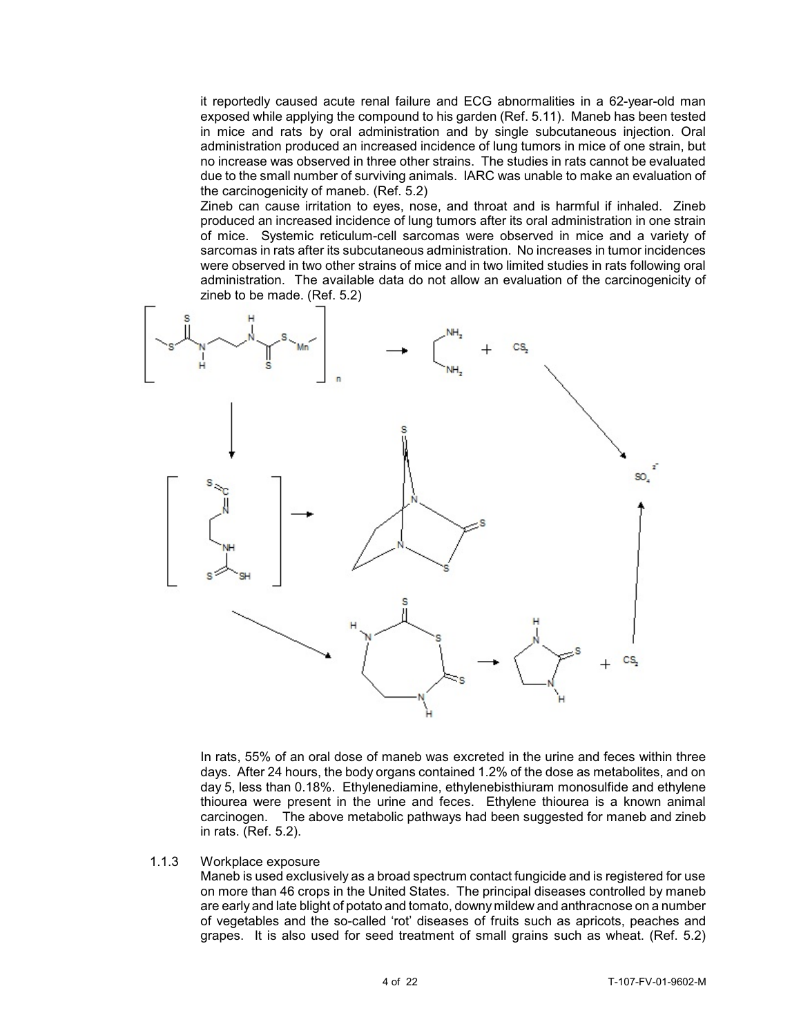it reportedly caused acute renal failure and ECG abnormalities in a 62-year-old man exposed while applying the compound to his garden (Ref. 5.11). Maneb has been tested in mice and rats by oral administration and by single subcutaneous injection. Oral administration produced an increased incidence of lung tumors in mice of one strain, but no increase was observed in three other strains. The studies in rats cannot be evaluated due to the small number of surviving animals. IARC was unable to make an evaluation of the carcinogenicity of maneb. (Ref. 5.2)

Zineb can cause irritation to eyes, nose, and throat and is harmful if inhaled. Zineb produced an increased incidence of lung tumors after its oral administration in one strain of mice. Systemic reticulum-cell sarcomas were observed in mice and a variety of sarcomas in rats after its subcutaneous administration. No increases in tumor incidences were observed in two other strains of mice and in two limited studies in rats following oral administration. The available data do not allow an evaluation of the carcinogenicity of zineb to be made. (Ref. 5.2)



In rats, 55% of an oral dose of maneb was excreted in the urine and feces within three days. After 24 hours, the body organs contained 1.2% of the dose as metabolites, and on day 5, less than 0.18%. Ethylenediamine, ethylenebisthiuram monosulfide and ethylene thiourea were present in the urine and feces. Ethylene thiourea is a known animal carcinogen. The above metabolic pathways had been suggested for maneb and zineb in rats. (Ref. 5.2).

1.1.3 Workplace exposure

Maneb is used exclusively as a broad spectrum contact fungicide and is registered for use on more than 46 crops in the United States. The principal diseases controlled by maneb are early and late blight of potato and tomato, downy mildew and anthracnose on a number of vegetables and the so-called 'rot' diseases of fruits such as apricots, peaches and grapes. It is also used for seed treatment of small grains such as wheat. (Ref. 5.2)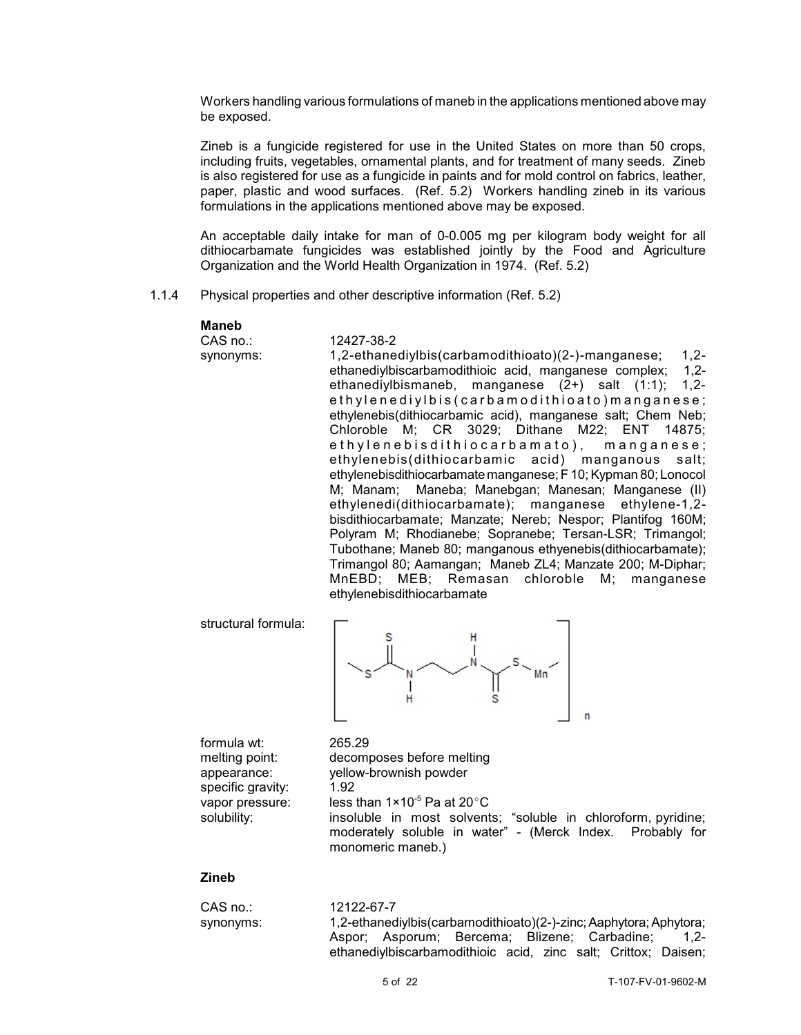Workers handling various formulations of maneb in the applications mentioned above may be exposed.

Zineb is a fungicide registered for use in the United States on more than 50 crops, including fruits, vegetables, ornamental plants, and for treatment of many seeds. Zineb is also registered for use as a fungicide in paints and for mold control on fabrics, leather, paper, plastic and wood surfaces. (Ref. 5.2) Workers handling zineb in its various formulations in the applications mentioned above may be exposed.

An acceptable daily intake for man of 0-0.005 mg per kilogram body weight for all dithiocarbamate fungicides was established jointly by the Food and Agriculture Organization and the World Health Organization in 1974. (Ref. 5.2)

1.1.4 Physical properties and other descriptive information (Ref. 5.2)

CAS no.: 12427-38-2

# **Maneb**

synonyms: 1,2-ethanediylbis(carbamodithioato)(2-)-manganese; 1,2 ethanediylbiscarbamodithioic acid, manganese complex; 1,2 ethanediylbismaneb, manganese (2+) salt (1:1); 1,2 ethylenediylbis (carbamodithioato) manganese; ethylenebis(dithiocarbamic acid), manganese salt; Chem Neb; Chloroble M; CR 3029; Dithane M22; ENT 14875; ethylenebisdithiocarbamato), manganese; ethylenebis(dithiocarbamic acid) manganous salt; ethylenebisdithiocarbamatemanganese; F 10; Kypman 80; Lonocol M; Manam; Maneba; Manebgan; Manesan; Manganese (II) ethylenedi(dithiocarbamate); manganese ethylene-1,2 bisdithiocarbamate; Manzate; Nereb; Nespor; Plantifog 160M; Polyram M; Rhodianebe; Sopranebe; Tersan-LSR; Trimangol; Tubothane; Maneb 80; manganous ethyenebis(dithiocarbamate); Trimangol 80; Aamangan; Maneb ZL4; Manzate 200; M-Diphar; MnEBD; MEB; Remasan chloroble M; manganese ethylenebisdithiocarbamate

structural formula:



formula wt: 265.29 melting point: decomposes before melting specific gravity: 1.92

appearance: yellow-brownish powder vapor pressure: less than  $1 \times 10^{-5}$  Pa at 20 $^{\circ}$ C solubility: insoluble in most solvents; "soluble in chloroform, pyridine; moderately soluble in water" - (Merck Index. Probably for monomeric maneb.)

# **Zineb**

| CAS no.:  | 12122-67-7                                                         |
|-----------|--------------------------------------------------------------------|
| synonyms: | 1,2-ethanediylbis(carbamodithioato)(2-)-zinc; Aaphytora; Aphytora; |
|           | Aspor; Asporum; Bercema; Blizene; Carbadine;<br>$1.2 -$            |
|           | ethanediylbiscarbamodithioic acid, zinc salt; Crittox; Daisen;     |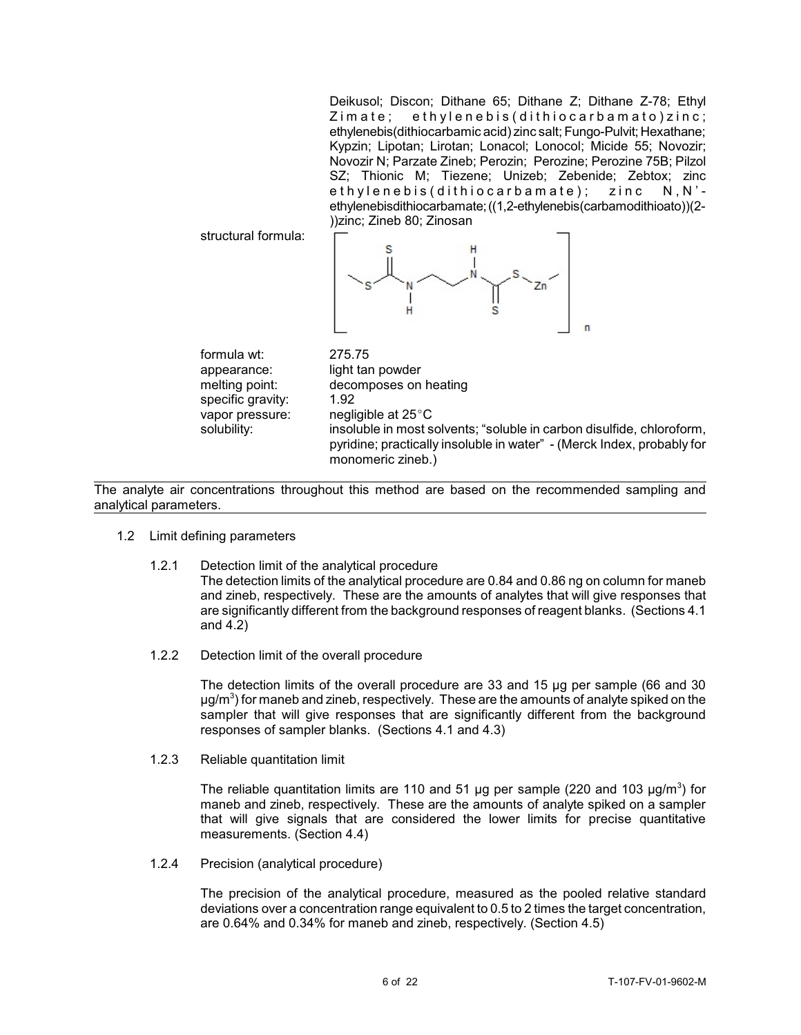Deikusol; Discon; Dithane 65; Dithane Z; Dithane Z-78; Ethyl  $Zima$  te; ethylenebis (dithiocarbamato) zinc; ethylenebis(dithiocarbamic acid) zinc salt; Fungo-Pulvit; Hexathane; Kypzin; Lipotan; Lirotan; Lonacol; Lonocol; Micide 55; Novozir; Novozir N; Parzate Zineb; Perozin; Perozine; Perozine 75B; Pilzol SZ; Thionic M; Tiezene; Unizeb; Zebenide; Zebtox; zinc ethylenebis (dithiocarbamate); zinc N, N'ethylenebisdithiocarbamate;((1,2-ethylenebis(carbamodithioato))(2- ))zinc; Zineb 80; Zinosan

structural formula:



formula wt: 275.75 specific gravity: 1.92

appearance: light tan powder melting point: decomposes on heating vapor pressure: negligible at  $25^{\circ}$ C solubility: insoluble in most solvents; "soluble in carbon disulfide, chloroform, pyridine; practically insoluble in water" - (Merck Index, probably for monomeric zineb.)

The analyte air concentrations throughout this method are based on the recommended sampling and analytical parameters.

- 1.2 Limit defining parameters
	- 1.2.1 Detection limit of the analytical procedure The detection limits of the analytical procedure are 0.84 and 0.86 ng on column for maneb and zineb, respectively. These are the amounts of analytes that will give responses that are significantly different from the background responses of reagent blanks. (Sections 4.1 and 4.2)
	- 1.2.2 Detection limit of the overall procedure

The detection limits of the overall procedure are 33 and 15 µg per sample (66 and 30  $\mu$ g/m $^3$ ) for maneb and zineb, respectively. These are the amounts of analyte spiked on the sampler that will give responses that are significantly different from the background responses of sampler blanks. (Sections 4.1 and 4.3)

1.2.3 Reliable quantitation limit

The reliable quantitation limits are 110 and 51  $\mu$ g per sample (220 and 103  $\mu$ g/m<sup>3</sup>) for maneb and zineb, respectively. These are the amounts of analyte spiked on a sampler that will give signals that are considered the lower limits for precise quantitative measurements. (Section 4.4)

1.2.4 Precision (analytical procedure)

The precision of the analytical procedure, measured as the pooled relative standard deviations over a concentration range equivalent to 0.5 to 2 times the target concentration, are 0.64% and 0.34% for maneb and zineb, respectively. (Section 4.5)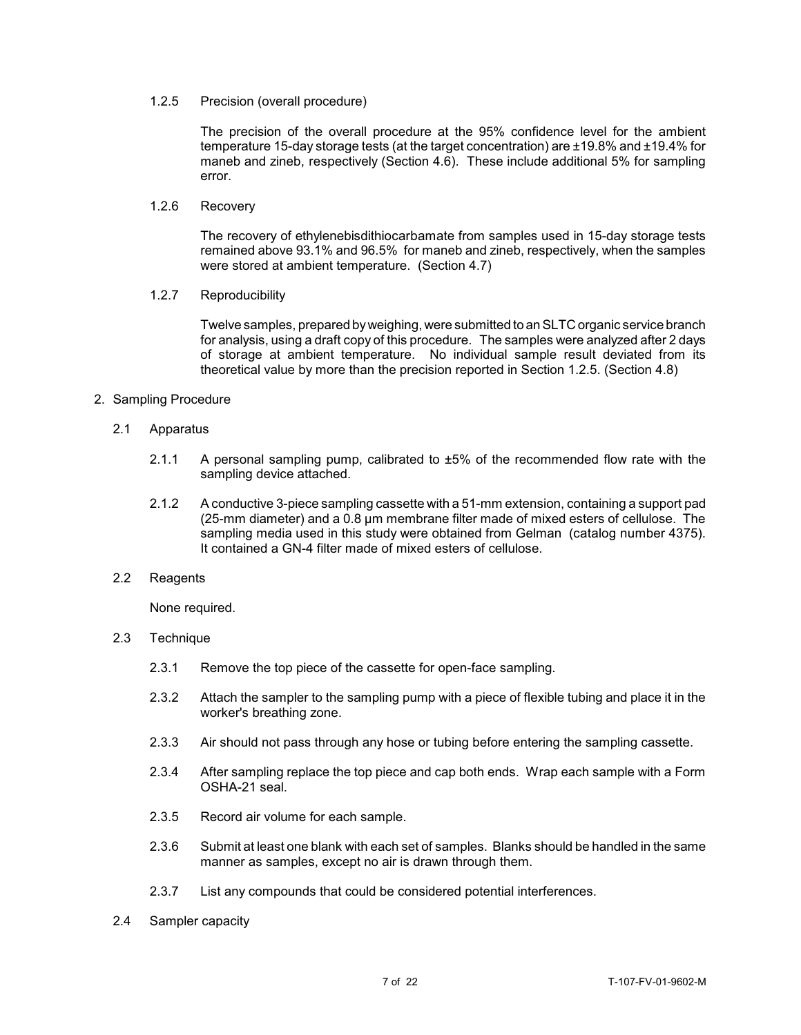### 1.2.5 Precision (overall procedure)

The precision of the overall procedure at the 95% confidence level for the ambient temperature 15-day storage tests (at the target concentration) are ±19.8% and ±19.4% for maneb and zineb, respectively (Section 4.6). These include additional 5% for sampling error.

### 1.2.6 Recovery

The recovery of ethylenebisdithiocarbamate from samples used in 15-day storage tests remained above 93.1% and 96.5% for maneb and zineb, respectively, when the samples were stored at ambient temperature. (Section 4.7)

# 1.2.7 Reproducibility

Twelve samples, prepared byweighing, were submitted to an SLTC organic service branch for analysis, using a draft copy of this procedure. The samples were analyzed after 2 days of storage at ambient temperature. No individual sample result deviated from its theoretical value by more than the precision reported in Section 1.2.5. (Section 4.8)

# 2. Sampling Procedure

# 2.1 Apparatus

- 2.1.1 A personal sampling pump, calibrated to ±5% of the recommended flow rate with the sampling device attached.
- 2.1.2 A conductive 3-piece sampling cassette with a 51-mm extension, containing a support pad (25-mm diameter) and a 0.8 µm membrane filter made of mixed esters of cellulose. The sampling media used in this study were obtained from Gelman (catalog number 4375). It contained a GN-4 filter made of mixed esters of cellulose.

### 2.2 Reagents

None required.

# 2.3 Technique

- 2.3.1 Remove the top piece of the cassette for open-face sampling.
- 2.3.2 Attach the sampler to the sampling pump with a piece of flexible tubing and place it in the worker's breathing zone.
- 2.3.3 Air should not pass through any hose or tubing before entering the sampling cassette.
- 2.3.4 After sampling replace the top piece and cap both ends. Wrap each sample with a Form OSHA-21 seal.
- 2.3.5 Record air volume for each sample.
- 2.3.6 Submit at least one blank with each set of samples. Blanks should be handled in the same manner as samples, except no air is drawn through them.
- 2.3.7 List any compounds that could be considered potential interferences.
- 2.4 Sampler capacity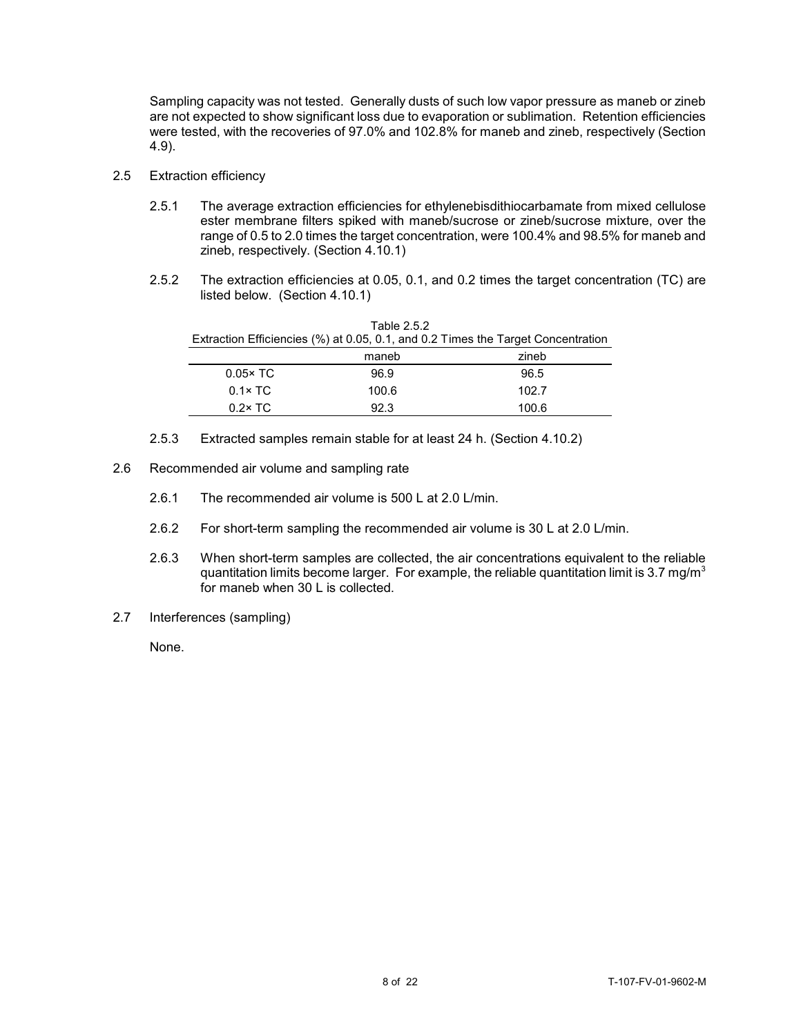Sampling capacity was not tested. Generally dusts of such low vapor pressure as maneb or zineb are not expected to show significant loss due to evaporation or sublimation. Retention efficiencies were tested, with the recoveries of 97.0% and 102.8% for maneb and zineb, respectively (Section 4.9).

- 2.5 Extraction efficiency
	- 2.5.1 The average extraction efficiencies for ethylenebisdithiocarbamate from mixed cellulose ester membrane filters spiked with maneb/sucrose or zineb/sucrose mixture, over the range of 0.5 to 2.0 times the target concentration, were 100.4% and 98.5% for maneb and zineb, respectively. (Section 4.10.1)
	- 2.5.2 The extraction efficiencies at 0.05, 0.1, and 0.2 times the target concentration (TC) are listed below. (Section 4.10.1)

|                  |       | Extraction Efficiencies (%) at 0.05, 0.1, and 0.2 Times the Target Concentration |
|------------------|-------|----------------------------------------------------------------------------------|
|                  | maneb | zineb                                                                            |
| $0.05 \times TC$ | 96.9  | 96.5                                                                             |
| $0.1 \times TC$  | 100.6 | 102.7                                                                            |
| $0.2 \times TC$  | 92.3  | 100.6                                                                            |
|                  |       |                                                                                  |

Table 2.5.2

- 2.5.3 Extracted samples remain stable for at least 24 h. (Section 4.10.2)
- 2.6 Recommended air volume and sampling rate
	- 2.6.1 The recommended air volume is 500 L at 2.0 L/min.
	- 2.6.2 For short-term sampling the recommended air volume is 30 L at 2.0 L/min.
	- 2.6.3 When short-term samples are collected, the air concentrations equivalent to the reliable quantitation limits become larger. For example, the reliable quantitation limit is 3.7 mg/m<sup>3</sup> for maneb when 30 L is collected.
- 2.7 Interferences (sampling)

None.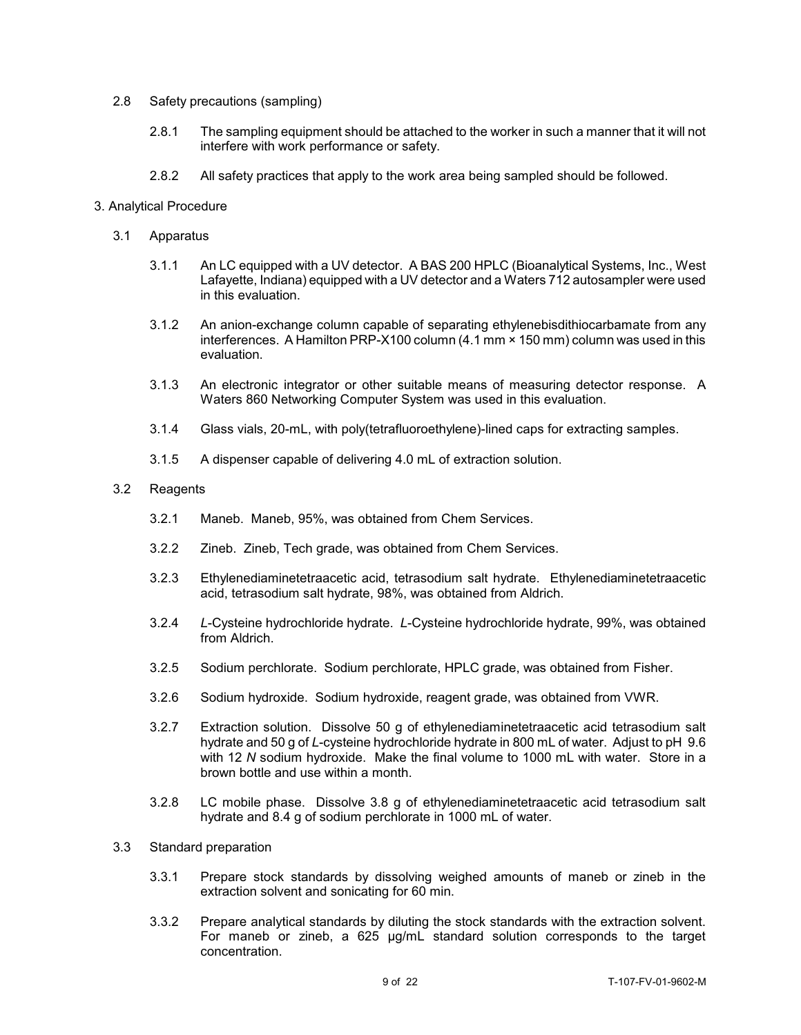#### 2.8 Safety precautions (sampling)

- 2.8.1 The sampling equipment should be attached to the worker in such a manner that it will not interfere with work performance or safety.
- 2.8.2 All safety practices that apply to the work area being sampled should be followed.

#### 3. Analytical Procedure

- 3.1 Apparatus
	- 3.1.1 An LC equipped with a UV detector. A BAS 200 HPLC (Bioanalytical Systems, Inc., West Lafayette, Indiana) equipped with a UV detector and a Waters 712 autosampler were used in this evaluation.
	- 3.1.2 An anion-exchange column capable of separating ethylenebisdithiocarbamate from any interferences. A Hamilton PRP-X100 column (4.1 mm × 150 mm) column was used in this evaluation.
	- 3.1.3 An electronic integrator or other suitable means of measuring detector response. A Waters 860 Networking Computer System was used in this evaluation.
	- 3.1.4 Glass vials, 20-mL, with poly(tetrafluoroethylene)-lined caps for extracting samples.
	- 3.1.5 A dispenser capable of delivering 4.0 mL of extraction solution.

#### 3.2 Reagents

- 3.2.1 Maneb. Maneb, 95%, was obtained from Chem Services.
- 3.2.2 Zineb. Zineb, Tech grade, was obtained from Chem Services.
- 3.2.3 Ethylenediaminetetraacetic acid, tetrasodium salt hydrate. Ethylenediaminetetraacetic acid, tetrasodium salt hydrate, 98%, was obtained from Aldrich.
- 3.2.4 *L*-Cysteine hydrochloride hydrate. *L*-Cysteine hydrochloride hydrate, 99%, was obtained from Aldrich.
- 3.2.5 Sodium perchlorate. Sodium perchlorate, HPLC grade, was obtained from Fisher.
- 3.2.6 Sodium hydroxide. Sodium hydroxide, reagent grade, was obtained from VWR.
- 3.2.7 Extraction solution. Dissolve 50 g of ethylenediaminetetraacetic acid tetrasodium salt hydrate and 50 g of *L*-cysteine hydrochloride hydrate in 800 mL of water. Adjust to pH 9.6 with 12 *N* sodium hydroxide. Make the final volume to 1000 mL with water. Store in a brown bottle and use within a month.
- 3.2.8 LC mobile phase. Dissolve 3.8 g of ethylenediaminetetraacetic acid tetrasodium salt hydrate and 8.4 g of sodium perchlorate in 1000 mL of water.

#### 3.3 Standard preparation

- 3.3.1 Prepare stock standards by dissolving weighed amounts of maneb or zineb in the extraction solvent and sonicating for 60 min.
- 3.3.2 Prepare analytical standards by diluting the stock standards with the extraction solvent. For maneb or zineb, a 625 µg/mL standard solution corresponds to the target concentration.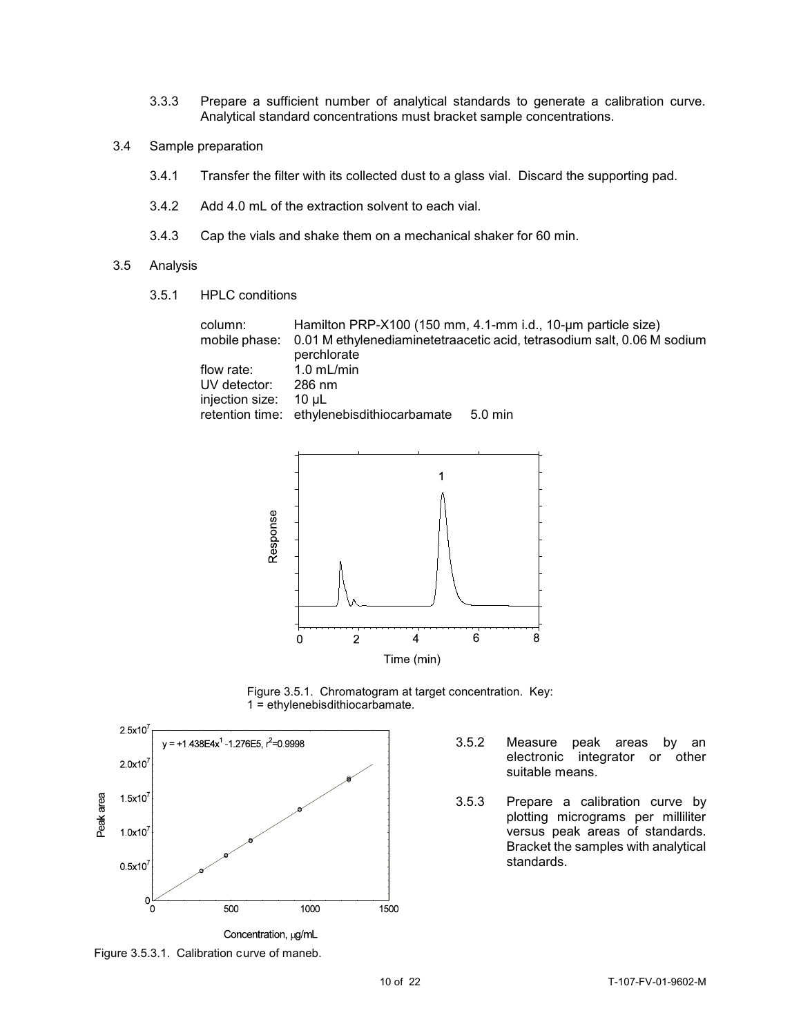- 3.3.3 Prepare a sufficient number of analytical standards to generate a calibration curve. Analytical standard concentrations must bracket sample concentrations.
- 3.4 Sample preparation
	- 3.4.1 Transfer the filter with its collected dust to a glass vial. Discard the supporting pad.
	- 3.4.2 Add 4.0 mL of the extraction solvent to each vial.
	- 3.4.3 Cap the vials and shake them on a mechanical shaker for 60 min.

#### 3.5 Analysis

3.5.1 HPLC conditions

| column:               | Hamilton PRP-X100 (150 mm, 4.1-mm i.d., 10-um particle size)                          |
|-----------------------|---------------------------------------------------------------------------------------|
|                       | mobile phase: 0.01 M ethylenediaminetetraacetic acid, tetrasodium salt, 0.06 M sodium |
|                       | perchlorate                                                                           |
| flow rate: 1.0 mL/min |                                                                                       |
| UV detector:          | 286 nm                                                                                |
| injection size: 10 µL |                                                                                       |
|                       | retention time: ethylenebisdithiocarbamate 5.0 min                                    |



Figure 3.5.1. Chromatogram at target concentration. Key: 1 = ethylenebisdithiocarbamate.



- 3.5.2 Measure peak areas by an electronic integrator or other suitable means.
- 3.5.3 Prepare a calibration curve by plotting micrograms per milliliter versus peak areas of standards. Bracket the samples with analytical standards.

Figure 3.5.3.1. Calibration curve of maneb.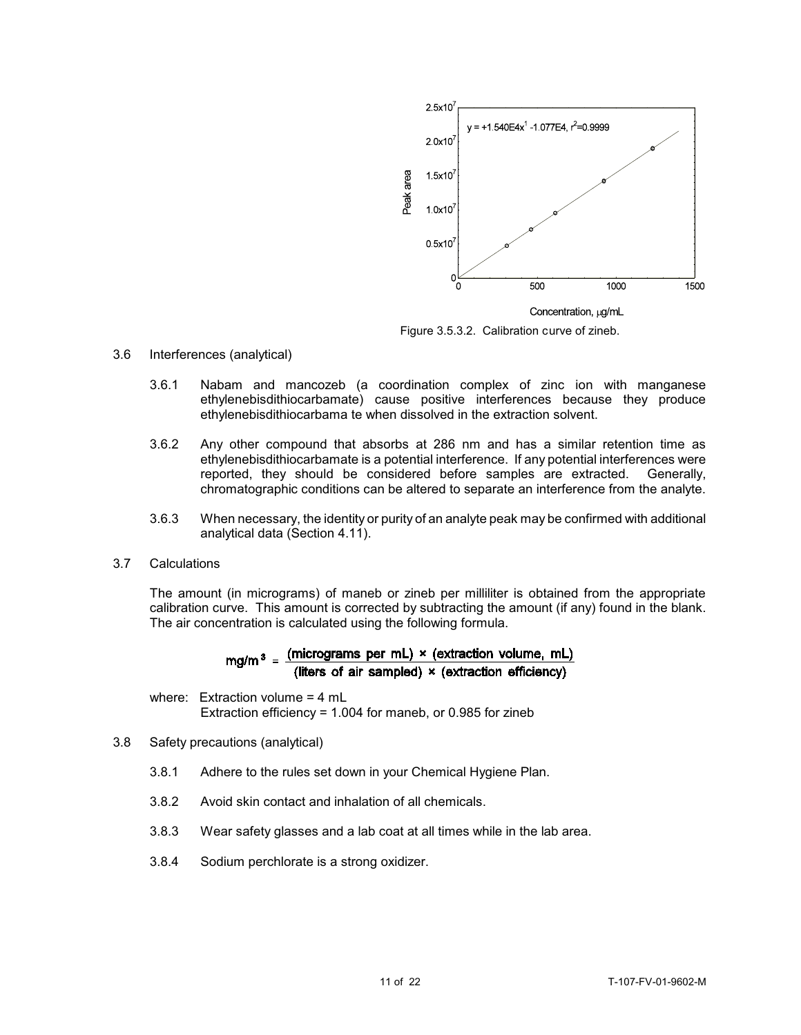

Figure 3.5.3.2. Calibration curve of zineb.

#### 3.6 Interferences (analytical)

- 3.6.1 Nabam and mancozeb (a coordination complex of zinc ion with manganese ethylenebisdithiocarbamate) cause positive interferences because they produce ethylenebisdithiocarbama te when dissolved in the extraction solvent.
- 3.6.2 Any other compound that absorbs at 286 nm and has a similar retention time as ethylenebisdithiocarbamate is a potential interference. If any potential interferences were<br>reported, they should be considered before samples are extracted. Generally, reported, they should be considered before samples are extracted. chromatographic conditions can be altered to separate an interference from the analyte.
- 3.6.3 When necessary, the identity or purity of an analyte peak may be confirmed with additional analytical data (Section 4.11).
- 3.7 Calculations

The amount (in micrograms) of maneb or zineb per milliliter is obtained from the appropriate calibration curve. This amount is corrected by subtracting the amount (if any) found in the blank. The air concentration is calculated using the following formula.

$$
mg/m3 = \frac{(micrograms per mL) \times (extraction volume, mL)}{(liters of air sampled) \times (extraction efficiency)}
$$

where: Extraction volume = 4 mL Extraction efficiency = 1.004 for maneb, or 0.985 for zineb

- 3.8 Safety precautions (analytical)
	- 3.8.1 Adhere to the rules set down in your Chemical Hygiene Plan.
	- 3.8.2 Avoid skin contact and inhalation of all chemicals.
	- 3.8.3 Wear safety glasses and a lab coat at all times while in the lab area.
	- 3.8.4 Sodium perchlorate is a strong oxidizer.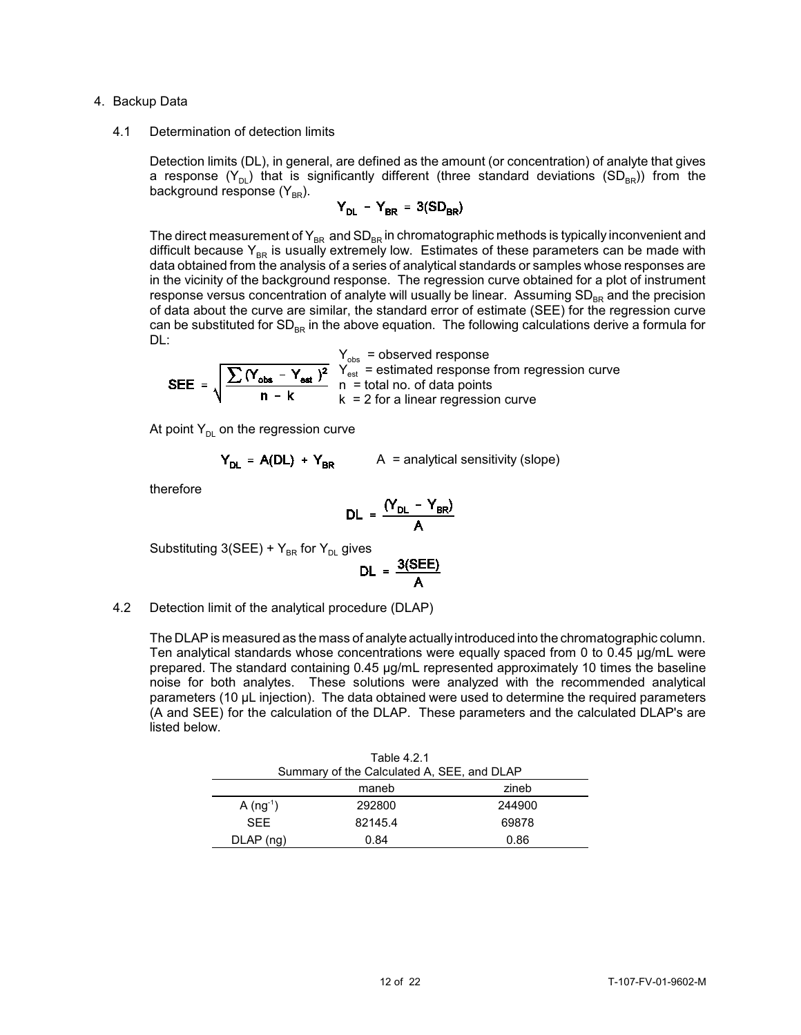#### 4. Backup Data

#### 4.1 Determination of detection limits

Detection limits (DL), in general, are defined as the amount (or concentration) of analyte that gives a response  $(Y_{DL})$  that is significantly different (three standard deviations  $(SD_{BR})$ ) from the background response (Y $_{\mathtt{BR}}$ ).

$$
Y_{DL} - Y_{BR} = 3(SD_{BR})
$$

The direct measurement of  $Y_{BR}$  and  $SD_{BR}$  in chromatographic methods is typically inconvenient and difficult because  $Y_{BR}$  is usually extremely low. Estimates of these parameters can be made with data obtained from the analysis of a series of analytical standards or samples whose responses are in the vicinity of the background response. The regression curve obtained for a plot of instrument response versus concentration of analyte will usually be linear. Assuming SD<sub>RR</sub> and the precision of data about the curve are similar, the standard error of estimate (SEE) for the regression curve can be substituted for SD<sub>BR</sub> in the above equation. The following calculations derive a formula for DL:

$$
Y_{obs} = observed response
$$
  
SEE =  $\sqrt{\frac{\sum (Y_{obs} - Y_{est})^2}{n - k}}$   $\frac{Y_{est}}{Y_{est}} = estimated response from regression curve$   
 $k = 2$  for a linear regression curve

At point  $Y_{DL}$  on the regression curve

$$
Y_{DL} = A(DL) + Y_{BR}
$$
 A = analytical sensitivity (slope)

therefore

$$
DL = \frac{(Y_{DL} - Y_{BR})}{A}
$$

Substituting 3(SEE) +  $Y_{BR}$  for  $Y_{DL}$  gives

$$
DL = \frac{3(SEE)}{A}
$$

#### 4.2 Detection limit of the analytical procedure (DLAP)

The DLAP is measured as the mass of analyte actually introduced into the chromatographic column. Ten analytical standards whose concentrations were equally spaced from 0 to 0.45 µg/mL were prepared. The standard containing 0.45 µg/mL represented approximately 10 times the baseline noise for both analytes. These solutions were analyzed with the recommended analytical parameters (10 µL injection). The data obtained were used to determine the required parameters (A and SEE) for the calculation of the DLAP. These parameters and the calculated DLAP's are listed below.

|             | Table 4.2.1                                |        |  |  |  |
|-------------|--------------------------------------------|--------|--|--|--|
|             | Summary of the Calculated A, SEE, and DLAP |        |  |  |  |
|             | maneb                                      | zineb  |  |  |  |
| $A (ng-1)$  | 292800                                     | 244900 |  |  |  |
| <b>SFF</b>  | 82145.4                                    | 69878  |  |  |  |
| $DLAP$ (ng) | 0.84                                       | 0.86   |  |  |  |
|             |                                            |        |  |  |  |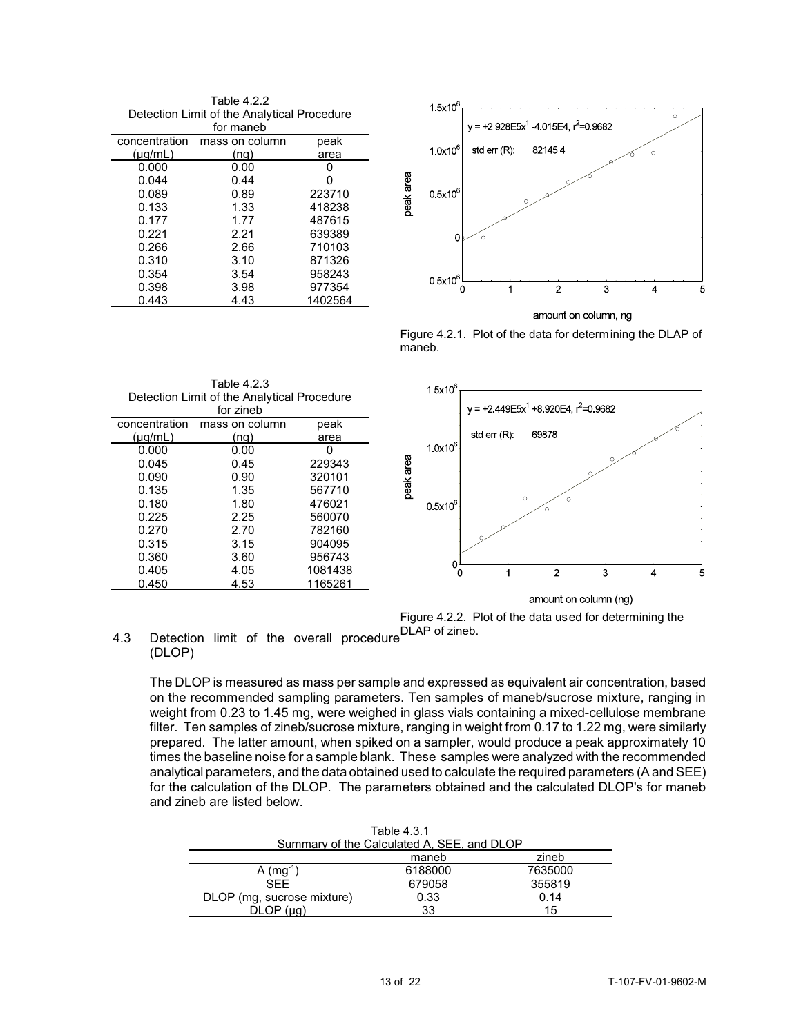Table 4.2.2 Detection Limit of the Analytical Procedure

| for maneb     |                |         |  |  |  |
|---------------|----------------|---------|--|--|--|
| concentration | mass on column | peak    |  |  |  |
| $(\mu q/mL)$  | (nq)           | area    |  |  |  |
| 0.000         | 0.00           |         |  |  |  |
| 0.044         | 0.44           | Ω       |  |  |  |
| 0.089         | 0.89           | 223710  |  |  |  |
| 0.133         | 1.33           | 418238  |  |  |  |
| 0.177         | 1.77           | 487615  |  |  |  |
| 0.221         | 2.21           | 639389  |  |  |  |
| 0.266         | 2.66           | 710103  |  |  |  |
| 0.310         | 3.10           | 871326  |  |  |  |
| 0.354         | 3.54           | 958243  |  |  |  |
| 0.398         | 3.98           | 977354  |  |  |  |
| 0.443         | 4.43           | 1402564 |  |  |  |



amount on column, ng

Figure 4.2.1. Plot of the data for determining the DLAP of maneb.

|               | Table 4.2.3                                 |         |           | $1.5x10^{6}$      |               |
|---------------|---------------------------------------------|---------|-----------|-------------------|---------------|
|               | Detection Limit of the Analytical Procedure |         |           |                   |               |
|               | for zineb                                   |         |           |                   | $+2$<br>$V =$ |
| concentration | mass on column                              | peak    |           |                   |               |
| $(\mu q/mL)$  | (ng)                                        | area    |           |                   | std err       |
| 0.000         | 0.00                                        |         |           | $1.0 \times 10^6$ |               |
| 0.045         | 0.45                                        | 229343  | peak area |                   |               |
| 0.090         | 0.90                                        | 320101  |           |                   |               |
| 0.135         | 1.35                                        | 567710  |           |                   |               |
| 0.180         | 1.80                                        | 476021  |           | $0.5x10^{6}$      |               |
| 0.225         | 2.25                                        | 560070  |           |                   |               |
| 0.270         | 2.70                                        | 782160  |           |                   |               |
| 0.315         | 3.15                                        | 904095  |           |                   |               |
| 0.360         | 3.60                                        | 956743  |           |                   |               |
| 0.405         | 4.05                                        | 1081438 |           |                   |               |
| 0.450         | 4.53                                        | 1165261 |           |                   |               |
|               |                                             |         |           |                   |               |



amount on column (ng) Figure 4.2.2. Plot of the data used for determining the

4.3 Detection limit of the overall procedure<sup>DLAP</sup> of zineb. (DLOP)

The DLOP is measured as mass per sample and expressed as equivalent air concentration, based on the recommended sampling parameters. Ten samples of maneb/sucrose mixture, ranging in weight from 0.23 to 1.45 mg, were weighed in glass vials containing a mixed-cellulose membrane filter. Ten samples of zineb/sucrose mixture, ranging in weight from 0.17 to 1.22 mg, were similarly prepared. The latter amount, when spiked on a sampler, would produce a peak approximately 10 times the baseline noise for a sample blank. These samples were analyzed with the recommended analytical parameters, and the data obtained used to calculate the required parameters (A and SEE) for the calculation of the DLOP. The parameters obtained and the calculated DLOP's for maneb and zineb are listed below.

| Table 4.3.1                |                                            |         |  |  |  |
|----------------------------|--------------------------------------------|---------|--|--|--|
|                            | Summary of the Calculated A, SEE, and DLOP |         |  |  |  |
| zineb<br>maneb             |                                            |         |  |  |  |
| $A$ (mg <sup>-1</sup> )    | 6188000                                    | 7635000 |  |  |  |
| <b>SFF</b>                 | 679058                                     | 355819  |  |  |  |
| DLOP (mg, sucrose mixture) | 0.33                                       | 0.14    |  |  |  |
|                            | 33                                         | 15      |  |  |  |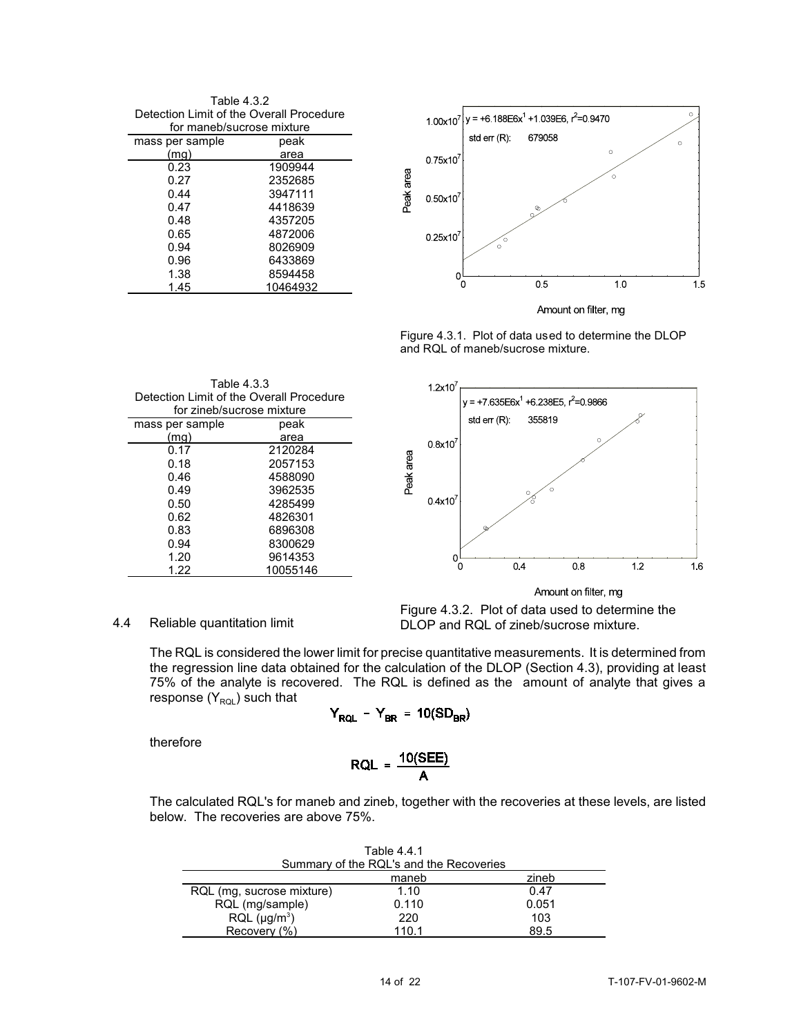Table 4.3.2 Detection Limit of the Overall Procedure

| for maneb/sucrose mixture |          |  |  |  |
|---------------------------|----------|--|--|--|
| mass per sample           | peak     |  |  |  |
| (mg)                      | area     |  |  |  |
| 0.23                      | 1909944  |  |  |  |
| 0.27                      | 2352685  |  |  |  |
| 0.44                      | 3947111  |  |  |  |
| 0.47                      | 4418639  |  |  |  |
| 0.48                      | 4357205  |  |  |  |
| 0.65                      | 4872006  |  |  |  |
| 0.94                      | 8026909  |  |  |  |
| 0.96                      | 6433869  |  |  |  |
| 1.38                      | 8594458  |  |  |  |
| 1.45                      | 10464932 |  |  |  |

Table 4.3.3 Detection Limit of the Overall Procedure for zineb/sucrose mixture

> 0.17 2120284<br>0.18 2057153 0.18 2057153<br>0.46 4588090 0.46 4588090<br>0.49 3962535 0.49 3962535

> 0.62 4826301<br>0.83 6896308 0.83 6896308<br>0.94 8300629 0.94 8300629<br>1.20 9614353 1.20 9614353

peak area

4285499

10055146



Figure 4.3.1. Plot of data used to determine the DLOP and RQL of maneb/sucrose mixture.



Amount on filter, mg

4.4 Reliable quantitation limit

mass per sample (mg)

Figure 4.3.2. Plot of data used to determine the DLOP and RQL of zineb/sucrose mixture.

The RQL is considered the lower limit for precise quantitative measurements. It is determined from the regression line data obtained for the calculation of the DLOP (Section 4.3), providing at least 75% of the analyte is recovered. The RQL is defined as the amount of analyte that gives a response  $(Y_{ROL})$  such that

$$
Y_{RQL} - Y_{BR} = 10(SD_{BR})
$$

therefore

$$
RQL = \frac{10(SEE)}{A}
$$

The calculated RQL's for maneb and zineb, together with the recoveries at these levels, are listed below. The recoveries are above 75%.

. . . . . .

| Table 4.4.1                   |                                         |       |  |  |  |
|-------------------------------|-----------------------------------------|-------|--|--|--|
|                               | Summary of the RQL's and the Recoveries |       |  |  |  |
|                               | zineb<br>maneb                          |       |  |  |  |
| RQL (mg. sucrose mixture)     | 1.10                                    | 0.47  |  |  |  |
| RQL (mg/sample)               | 0.110                                   | 0.051 |  |  |  |
| RQL (µg/m <sup>3</sup> )      | 220                                     | 103   |  |  |  |
| Recovery (%)<br>89.5<br>110.1 |                                         |       |  |  |  |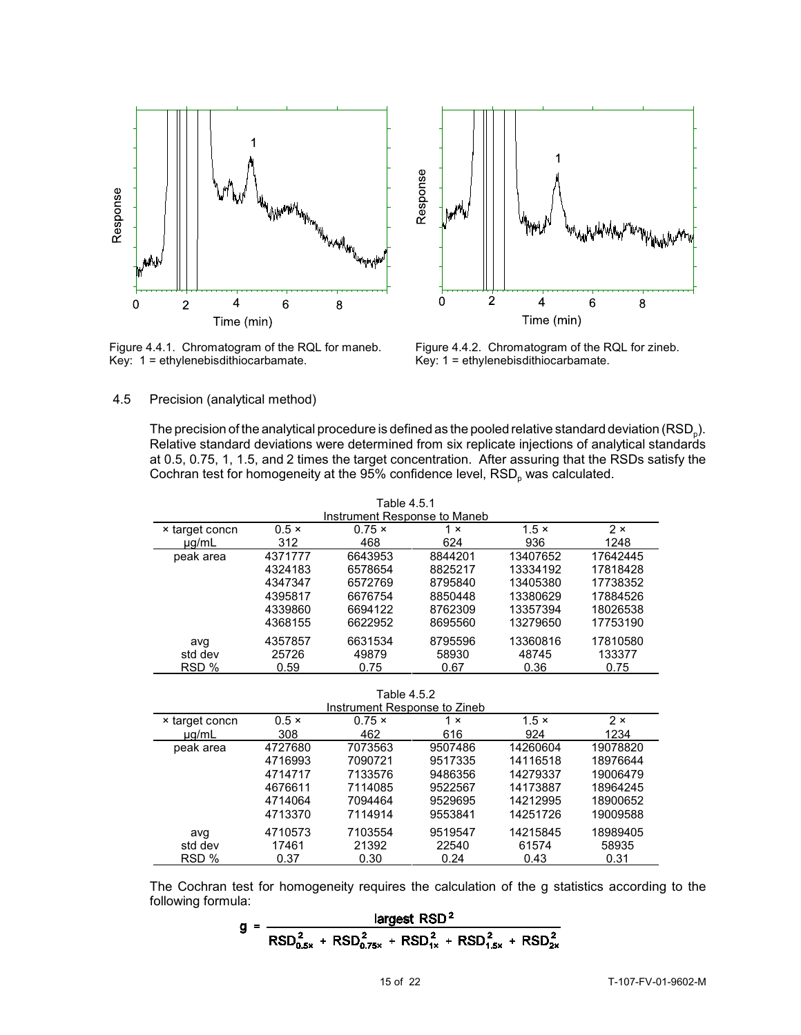

Figure 4.4.1. Chromatogram of the RQL for maneb. Key: 1 = ethylenebisdithiocarbamate.



Figure 4.4.2. Chromatogram of the RQL for zineb. Key: 1 = ethylenebisdithiocarbamate.

#### 4.5 Precision (analytical method)

The precision of the analytical procedure is defined as the pooled relative standard deviation ( $\mathsf{RSD}_{\text{p}}$ ). Relative standard deviations were determined from six replicate injections of analytical standards at 0.5, 0.75, 1, 1.5, and 2 times the target concentration. After assuring that the RSDs satisfy the Cochran test for homogeneity at the 95% confidence level,  $\mathsf{RSD}_{\rho}$  was calculated.

| Table 4.5.1<br>Instrument Response to Maneb |              |               |            |              |            |
|---------------------------------------------|--------------|---------------|------------|--------------|------------|
| x target concn                              | $0.5 \times$ | $0.75 \times$ | $1 \times$ | $1.5 \times$ | $2 \times$ |
| $\mu q/mL$                                  | 312          | 468           | 624        | 936          | 1248       |
| peak area                                   | 4371777      | 6643953       | 8844201    | 13407652     | 17642445   |
|                                             | 4324183      | 6578654       | 8825217    | 13334192     | 17818428   |
|                                             | 4347347      | 6572769       | 8795840    | 13405380     | 17738352   |
|                                             | 4395817      | 6676754       | 8850448    | 13380629     | 17884526   |
|                                             | 4339860      | 6694122       | 8762309    | 13357394     | 18026538   |
|                                             | 4368155      | 6622952       | 8695560    | 13279650     | 17753190   |
| avg                                         | 4357857      | 6631534       | 8795596    | 13360816     | 17810580   |
| std dev                                     | 25726        | 49879         | 58930      | 48745        | 133377     |
| RSD %                                       | 0.59         | 0.75          | 0.67       | 0.36         | 0.75       |

Table 4.5.2

|                |              | Instrument Response to Zineb |            |              |            |
|----------------|--------------|------------------------------|------------|--------------|------------|
| × target concn | $0.5 \times$ | $0.75 \times$                | $1 \times$ | $1.5 \times$ | $2 \times$ |
| $\mu$ a/mL     | 308          | 462                          | 616        | 924          | 1234       |
| peak area      | 4727680      | 7073563                      | 9507486    | 14260604     | 19078820   |
|                | 4716993      | 7090721                      | 9517335    | 14116518     | 18976644   |
|                | 4714717      | 7133576                      | 9486356    | 14279337     | 19006479   |
|                | 4676611      | 7114085                      | 9522567    | 14173887     | 18964245   |
|                | 4714064      | 7094464                      | 9529695    | 14212995     | 18900652   |
|                | 4713370      | 7114914                      | 9553841    | 14251726     | 19009588   |
| avq            | 4710573      | 7103554                      | 9519547    | 14215845     | 18989405   |
| std dev        | 17461        | 21392                        | 22540      | 61574        | 58935      |
| RSD %          | 0.37         | 0.30                         | 0.24       | 0.43         | 0.31       |

The Cochran test for homogeneity requires the calculation of the g statistics according to the following formula:

$$
g = \frac{\text{largest RSD}^2}{\text{RSD}_{0.5x}^2 + \text{RSD}_{0.75x}^2 + \text{RSD}_{1x}^2 + \text{RSD}_{1.5x}^2 + \text{RSD}_{2x}^2}
$$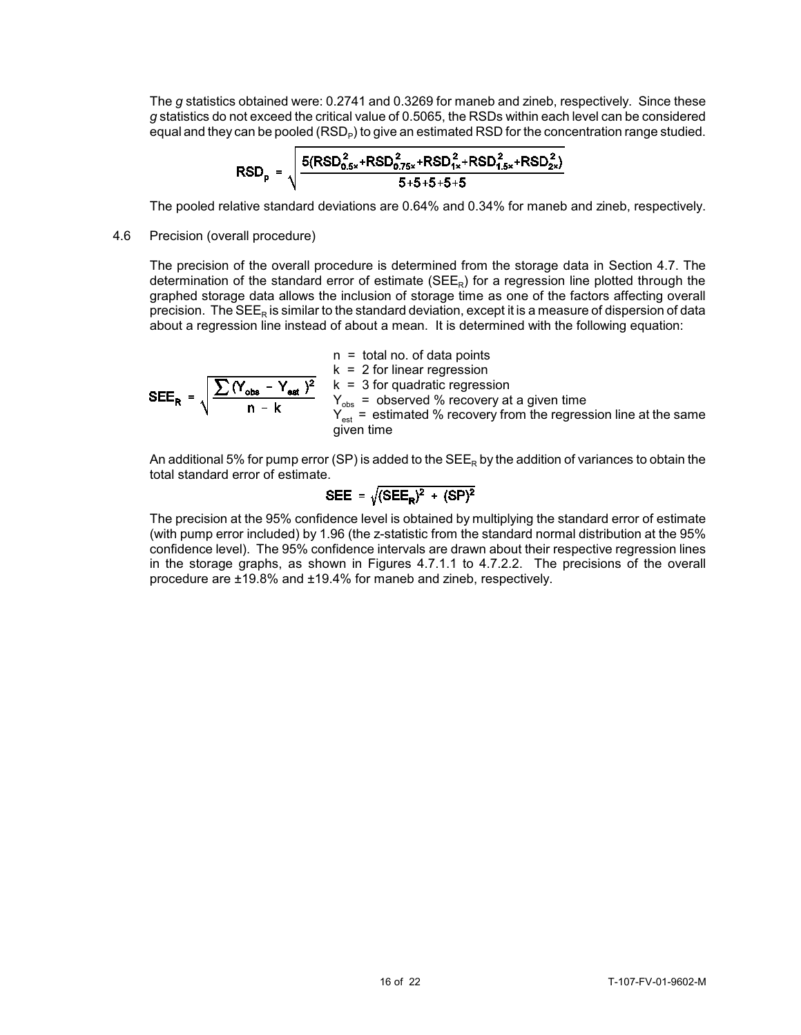The *g* statistics obtained were: 0.2741 and 0.3269 for maneb and zineb, respectively. Since these *g* statistics do not exceed the critical value of 0.5065, the RSDs within each level can be considered equal and they can be pooled (RSD<sub>P</sub>) to give an estimated RSD for the concentration range studied.

$$
RSD_p = \sqrt{\frac{5(RSD_{0.5x}^2 + RSD_{0.75x}^2 + RSD_{1x}^2 + RSD_{1.5x}^2 + RSD_{2x}^2)}{5 + 5 + 5 + 5 + 5}}
$$

The pooled relative standard deviations are 0.64% and 0.34% for maneb and zineb, respectively.

#### 4.6 Precision (overall procedure)

The precision of the overall procedure is determined from the storage data in Section 4.7. The determination of the standard error of estimate (SEE<sub>R</sub>) for a regression line plotted through the graphed storage data allows the inclusion of storage time as one of the factors affecting overall precision. The SEE<sub>R</sub> is similar to the standard deviation, except it is a measure of dispersion of data about a regression line instead of about a mean. It is determined with the following equation:

$$
n = total no. of data points
$$
  
\n
$$
k = 2 for linear regression
$$
  
\n
$$
SEER = \sqrt{\frac{\sum (Y_{obs} - Y_{est})^2}{n - k}}
$$
  
\n
$$
Y_{obs} = observed % recovery at a given time
$$
  
\n
$$
Y_{est} = estimated % recovery from the regression line at the same given time
$$
  
\ngiven time

An additional 5% for pump error (SP) is added to the  $SEE_R$  by the addition of variances to obtain the total standard error of estimate.

$$
SEE = \sqrt{(SEE_R)^2 + (SP)^2}
$$

The precision at the 95% confidence level is obtained by multiplying the standard error of estimate (with pump error included) by 1.96 (the z-statistic from the standard normal distribution at the 95% confidence level). The 95% confidence intervals are drawn about their respective regression lines in the storage graphs, as shown in Figures 4.7.1.1 to 4.7.2.2. The precisions of the overall procedure are ±19.8% and ±19.4% for maneb and zineb, respectively.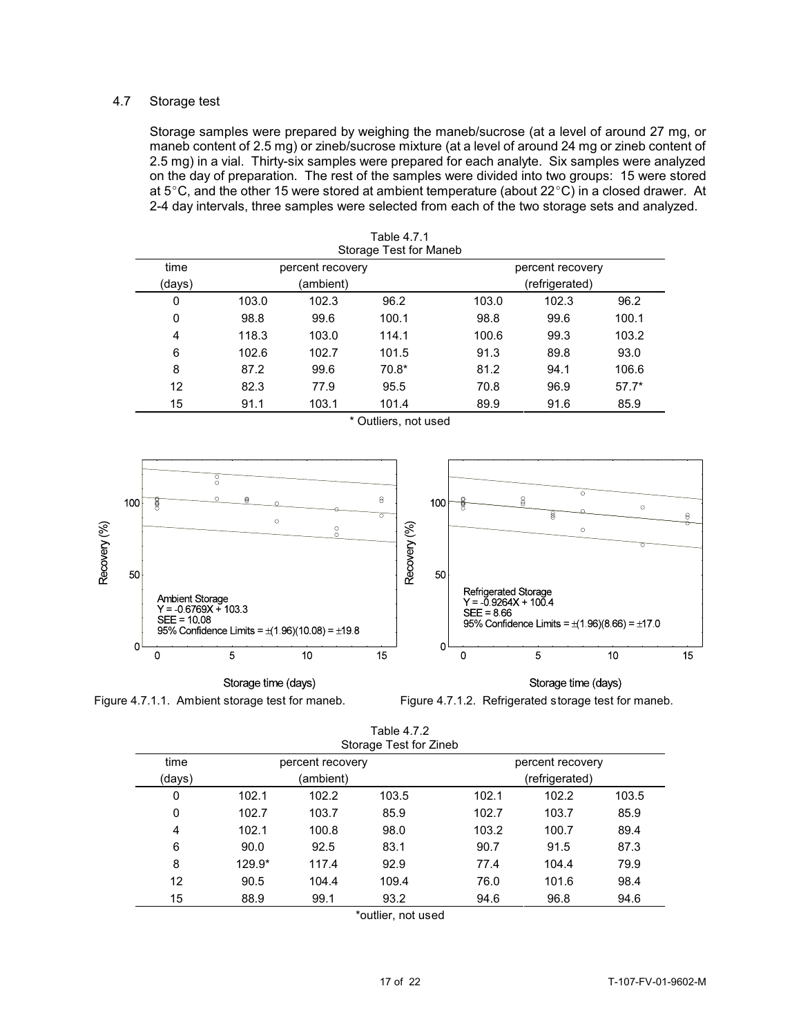# 4.7 Storage test

Storage samples were prepared by weighing the maneb/sucrose (at a level of around 27 mg, or maneb content of 2.5 mg) or zineb/sucrose mixture (at a level of around 24 mg or zineb content of 2.5 mg) in a vial. Thirty-six samples were prepared for each analyte. Six samples were analyzed on the day of preparation. The rest of the samples were divided into two groups: 15 were stored at 5°C, and the other 15 were stored at ambient temperature (about  $22^{\circ}C$ ) in a closed drawer. At 2-4 day intervals, three samples were selected from each of the two storage sets and analyzed.

|        | Storage Test for Maneb |                  |         |                  |       |         |  |  |  |  |  |
|--------|------------------------|------------------|---------|------------------|-------|---------|--|--|--|--|--|
| time   |                        | percent recovery |         | percent recovery |       |         |  |  |  |  |  |
| (days) |                        | (ambient)        |         | (refrigerated)   |       |         |  |  |  |  |  |
| 0      | 103.0                  | 102.3            | 96.2    | 103.0            | 102.3 | 96.2    |  |  |  |  |  |
| 0      | 98.8                   | 99.6             | 100.1   | 98.8             | 99.6  | 100.1   |  |  |  |  |  |
| 4      | 118.3                  | 103.0            | 114.1   | 100.6            | 99.3  | 103.2   |  |  |  |  |  |
| 6      | 102.6                  | 102.7            | 101.5   | 91.3             | 89.8  | 93.0    |  |  |  |  |  |
| 8      | 87.2                   | 99.6             | $70.8*$ | 81.2             | 94.1  | 106.6   |  |  |  |  |  |
| 12     | 82.3                   | 77.9             | 95.5    | 70.8             | 96.9  | $57.7*$ |  |  |  |  |  |
| 15     | 91.1                   | 103.1            | 101.4   | 89.9             | 91.6  | 85.9    |  |  |  |  |  |

\* Outliers, not used

Table 4.7.1



Storage time (days)

Figure 4.7.1.1. Ambient storage test for maneb. Figure 4.7.1.2. Refrigerated storage test for maneb.

|                                              | Table 4.7.2<br>Storage Test for Zineb |           |       |       |                |       |  |  |  |  |  |  |  |
|----------------------------------------------|---------------------------------------|-----------|-------|-------|----------------|-------|--|--|--|--|--|--|--|
| time<br>percent recovery<br>percent recovery |                                       |           |       |       |                |       |  |  |  |  |  |  |  |
| (days)                                       |                                       | (ambient) |       |       | (refrigerated) |       |  |  |  |  |  |  |  |
| 0                                            | 102.1                                 | 102.2     | 103.5 | 102.1 | 102.2          | 103.5 |  |  |  |  |  |  |  |
| $\mathbf{0}$                                 | 102.7                                 | 103.7     | 85.9  | 102.7 | 103.7          | 85.9  |  |  |  |  |  |  |  |
| 4                                            | 102.1                                 | 100.8     | 98.0  | 103.2 | 100.7          | 89.4  |  |  |  |  |  |  |  |
| 6                                            | 90.0                                  | 92.5      | 83.1  | 90.7  | 91.5           | 87.3  |  |  |  |  |  |  |  |
| 8                                            | 129.9*                                | 117.4     | 92.9  | 77.4  | 104.4          | 79.9  |  |  |  |  |  |  |  |
| 12                                           | 90.5                                  | 104.4     | 109.4 | 76.0  | 101.6          | 98.4  |  |  |  |  |  |  |  |
| 15                                           | 88.9                                  | 99.1      | 93.2  | 94.6  | 96.8           | 94.6  |  |  |  |  |  |  |  |

\*outlier, not used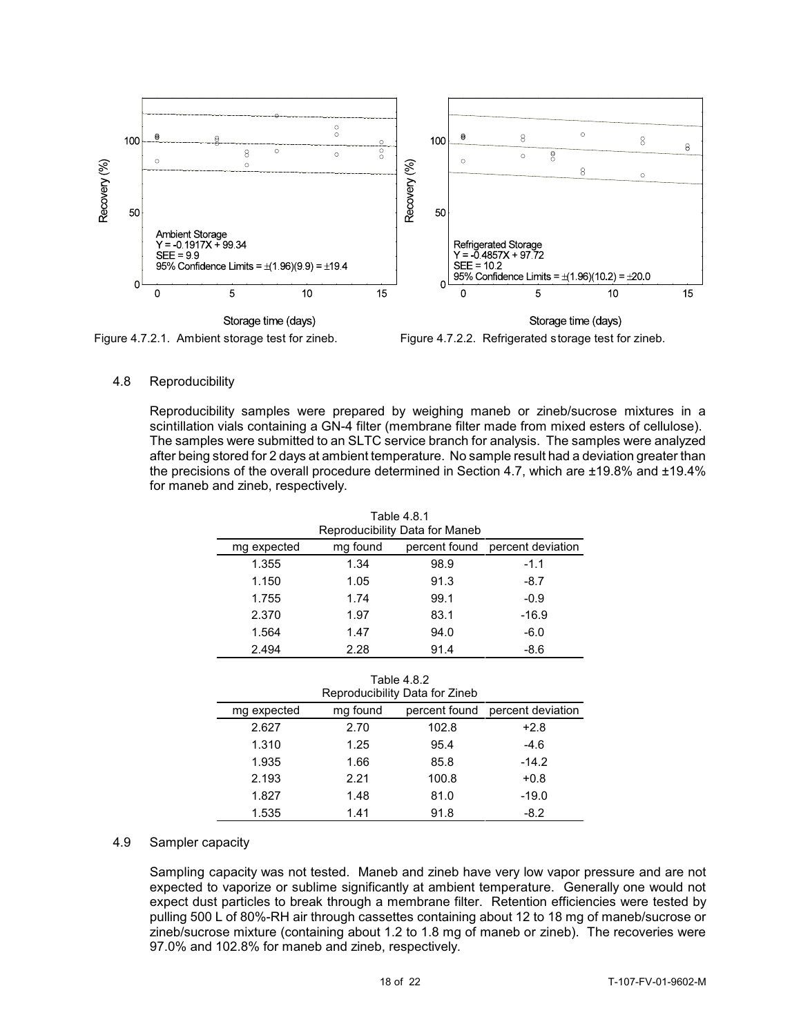

Figure 4.7.2.1. Ambient storage test for zineb. Figure 4.7.2.2. Refrigerated storage test for zineb.

# 4.8 Reproducibility

Reproducibility samples were prepared by weighing maneb or zineb/sucrose mixtures in a scintillation vials containing a GN-4 filter (membrane filter made from mixed esters of cellulose). The samples were submitted to an SLTC service branch for analysis. The samples were analyzed after being stored for 2 days at ambient temperature. No sample result had a deviation greater than the precisions of the overall procedure determined in Section 4.7, which are ±19.8% and ±19.4% for maneb and zineb, respectively.

| Table 4.8.1<br>Reproducibility Data for Maneb |          |               |                   |  |  |  |  |  |  |  |
|-----------------------------------------------|----------|---------------|-------------------|--|--|--|--|--|--|--|
| mg expected                                   | mg found | percent found | percent deviation |  |  |  |  |  |  |  |
| 1.355                                         | 1.34     | 98.9          | $-1.1$            |  |  |  |  |  |  |  |
| 1.150                                         | 1.05     | 91.3          | $-8.7$            |  |  |  |  |  |  |  |
| 1.755                                         | 1.74     | 99.1          | $-0.9$            |  |  |  |  |  |  |  |
| 2.370                                         | 1.97     | 83.1          | $-16.9$           |  |  |  |  |  |  |  |
| 1.564                                         | 1.47     | 94.0          | $-6.0$            |  |  |  |  |  |  |  |
| 2.494                                         | 2.28     | 91.4          | $-8.6$            |  |  |  |  |  |  |  |

Table 4.8.2

| Reproducibility Data for Zineb |               |                   |         |  |  |  |  |  |  |  |
|--------------------------------|---------------|-------------------|---------|--|--|--|--|--|--|--|
| mg expected                    | percent found | percent deviation |         |  |  |  |  |  |  |  |
| 2.627                          | 2.70          | 102.8             | $+2.8$  |  |  |  |  |  |  |  |
| 1.310                          | 1.25          | 95.4              | $-4.6$  |  |  |  |  |  |  |  |
| 1.935                          | 1.66          | 85.8              | $-14.2$ |  |  |  |  |  |  |  |
| 2.193                          | 2.21          | 100.8             | $+0.8$  |  |  |  |  |  |  |  |
| 1.827                          | 1.48          | 81.0              | $-19.0$ |  |  |  |  |  |  |  |
| 1.535                          | 1.41          | 91.8              | $-8.2$  |  |  |  |  |  |  |  |

# 4.9 Sampler capacity

Sampling capacity was not tested. Maneb and zineb have very low vapor pressure and are not expected to vaporize or sublime significantly at ambient temperature. Generally one would not expect dust particles to break through a membrane filter. Retention efficiencies were tested by pulling 500 L of 80%-RH air through cassettes containing about 12 to 18 mg of maneb/sucrose or zineb/sucrose mixture (containing about 1.2 to 1.8 mg of maneb or zineb). The recoveries were 97.0% and 102.8% for maneb and zineb, respectively.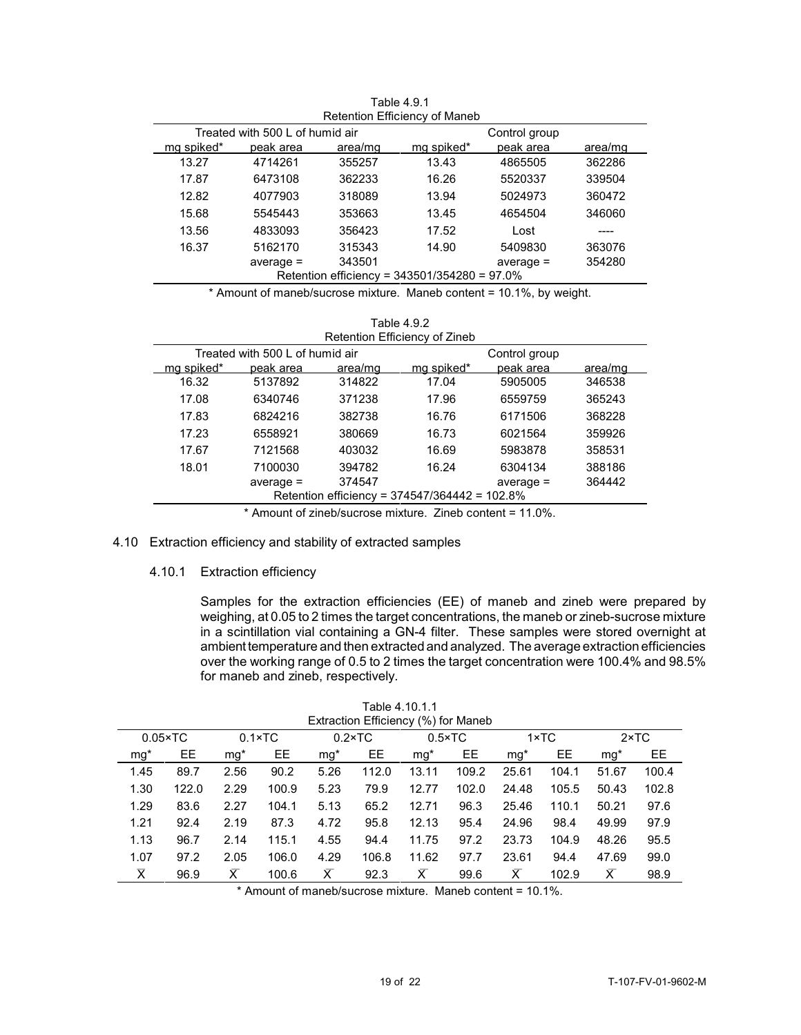| Retention Efficiency of Maneb                    |             |         |                                              |             |         |  |  |  |  |  |
|--------------------------------------------------|-------------|---------|----------------------------------------------|-------------|---------|--|--|--|--|--|
| Treated with 500 L of humid air<br>Control group |             |         |                                              |             |         |  |  |  |  |  |
| mg spiked*                                       | peak area   | area/mg | mg spiked*                                   | peak area   | area/mg |  |  |  |  |  |
| 13.27                                            | 4714261     | 355257  | 13.43                                        | 4865505     | 362286  |  |  |  |  |  |
| 17.87                                            | 6473108     | 362233  | 16.26                                        | 5520337     | 339504  |  |  |  |  |  |
| 12.82                                            | 4077903     | 318089  | 13.94                                        | 5024973     | 360472  |  |  |  |  |  |
| 15.68                                            | 5545443     | 353663  | 13.45                                        | 4654504     | 346060  |  |  |  |  |  |
| 13.56                                            | 4833093     | 356423  | 17.52                                        | Lost        |         |  |  |  |  |  |
| 16.37                                            | 5162170     | 315343  | 14.90                                        | 5409830     | 363076  |  |  |  |  |  |
|                                                  | $average =$ | 343501  |                                              | $average =$ | 354280  |  |  |  |  |  |
|                                                  |             |         | Retention efficiency = 343501/354280 = 97.0% |             |         |  |  |  |  |  |

Table 4.9.1

\* Amount of maneb/sucrose mixture. Maneb content = 10.1%, by weight.

| Table 4.9.2                   |
|-------------------------------|
| Retention Efficiency of Zineb |

| Treated with 500 L of humid air               |             |         |            |             |         |  |  |  |
|-----------------------------------------------|-------------|---------|------------|-------------|---------|--|--|--|
| ma spiked*                                    | peak area   | area/mg | ma spiked* | peak area   | area/mg |  |  |  |
| 16.32                                         | 5137892     | 314822  | 17.04      | 5905005     | 346538  |  |  |  |
| 17.08                                         | 6340746     | 371238  | 17.96      | 6559759     | 365243  |  |  |  |
| 17.83                                         | 6824216     | 382738  | 16.76      | 6171506     | 368228  |  |  |  |
| 17.23                                         | 6558921     | 380669  | 16.73      | 6021564     | 359926  |  |  |  |
| 17.67                                         | 7121568     | 403032  | 16.69      | 5983878     | 358531  |  |  |  |
| 18.01                                         | 7100030     | 394782  | 16.24      | 6304134     | 388186  |  |  |  |
|                                               | $average =$ | 374547  |            | $average =$ | 364442  |  |  |  |
| Retention efficiency = 374547/364442 = 102.8% |             |         |            |             |         |  |  |  |
|                                               |             |         |            |             |         |  |  |  |

\* Amount of zineb/sucrose mixture. Zineb content = 11.0%.

# 4.10 Extraction efficiency and stability of extracted samples

4.10.1 Extraction efficiency

Samples for the extraction efficiencies (EE) of maneb and zineb were prepared by weighing, at 0.05 to 2 times the target concentrations, the maneb or zineb-sucrose mixture in a scintillation vial containing a GN-4 filter. These samples were stored overnight at ambient temperature and then extracted and analyzed. The average extraction efficiencies over the working range of 0.5 to 2 times the target concentration were 100.4% and 98.5% for maneb and zineb, respectively.

|                         | Table 4.10.1.1<br>Extraction Efficiency (%) for Maneb |       |                 |       |                 |                         |                 |       |               |       |               |  |  |  |
|-------------------------|-------------------------------------------------------|-------|-----------------|-------|-----------------|-------------------------|-----------------|-------|---------------|-------|---------------|--|--|--|
|                         | $0.05 \times TC$                                      |       | $0.1 \times TC$ |       | $0.2 \times TC$ |                         | $0.5 \times TC$ |       | $1 \times TC$ |       | $2 \times TC$ |  |  |  |
| $mg*$                   | EE                                                    | $mg*$ | EE              | $mg*$ | EE              | $mg*$                   | EE              | $mg*$ | EE            | $mg*$ | EЕ            |  |  |  |
| 1.45                    | 89.7                                                  | 2.56  | 90.2            | 5.26  | 112.0           | 13.11                   | 109.2           | 25.61 | 104.1         | 51.67 | 100.4         |  |  |  |
| 1.30                    | 122.0                                                 | 2.29  | 100.9           | 5.23  | 79.9            | 12.77                   | 102.0           | 24.48 | 105.5         | 50.43 | 102.8         |  |  |  |
| 1.29                    | 83.6                                                  | 2.27  | 104.1           | 5.13  | 65.2            | 12.71                   | 96.3            | 25.46 | 110.1         | 50.21 | 97.6          |  |  |  |
| 1.21                    | 92.4                                                  | 2.19  | 87.3            | 4.72  | 95.8            | 12.13                   | 95.4            | 24.96 | 98.4          | 49.99 | 97.9          |  |  |  |
| 1.13                    | 96.7                                                  | 2.14  | 115.1           | 4.55  | 94.4            | 11.75                   | 97.2            | 23.73 | 104.9         | 48.26 | 95.5          |  |  |  |
| 1.07                    | 97.2                                                  | 2.05  | 106.0           | 4.29  | 106.8           | 11.62                   | 97.7            | 23.61 | 94.4          | 47.69 | 99.0          |  |  |  |
| $\overline{\mathsf{x}}$ | 96.9                                                  | х     | 100.6           | Х     | 92.3            | $\overline{\mathsf{x}}$ | 99.6            | Х     | 102.9         | Х     | 98.9          |  |  |  |

\* Amount of maneb/sucrose mixture. Maneb content = 10.1%.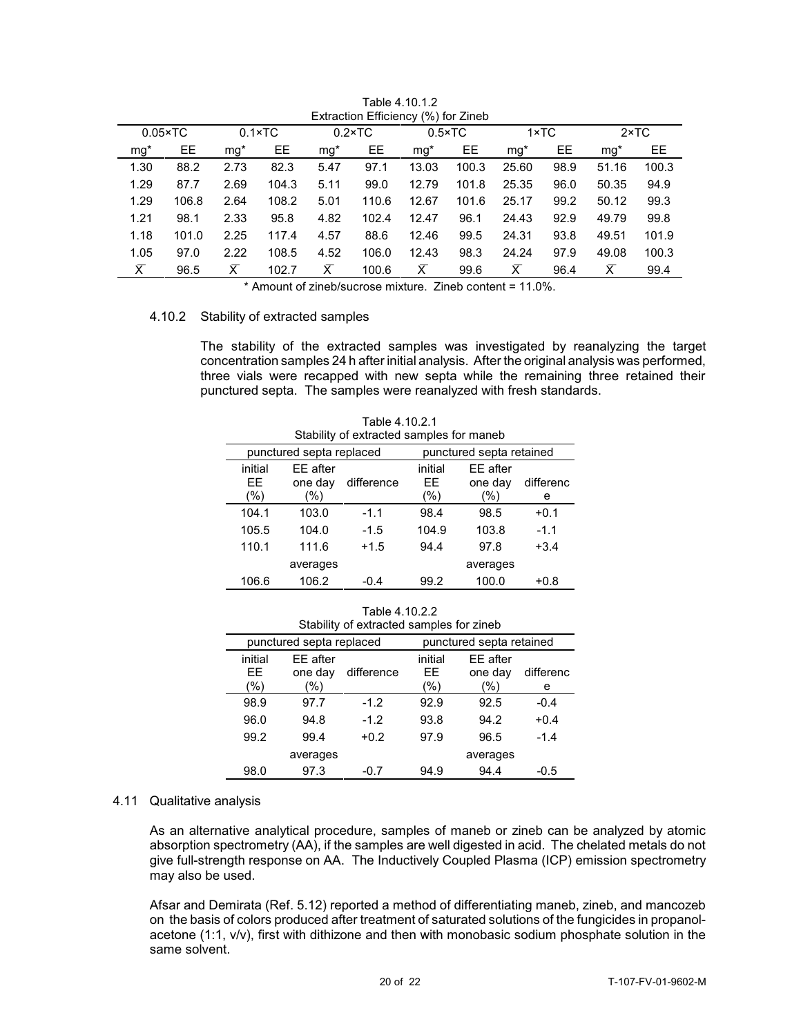|                | $0.05 \times TC$ |                | $0.1 \times TC$ |        | $0.2 \times TC$ |       | $0.5 \times TC$ | $1 \times TC$  |      |                         | $2 \times TC$ |
|----------------|------------------|----------------|-----------------|--------|-----------------|-------|-----------------|----------------|------|-------------------------|---------------|
| $mg*$          | EE.              | $mg*$          | EE              | $mq^*$ | EE              | $mg*$ | EE.             | mq*            | EE   | ma*                     | EE.           |
| 1.30           | 88.2             | 2.73           | 82.3            | 5.47   | 97.1            | 13.03 | 100.3           | 25.60          | 98.9 | 51.16                   | 100.3         |
| 1.29           | 87.7             | 2.69           | 104.3           | 5.11   | 99.0            | 12.79 | 101.8           | 25.35          | 96.0 | 50.35                   | 94.9          |
| 1.29           | 106.8            | 2.64           | 108.2           | 5.01   | 110.6           | 12.67 | 101.6           | 25.17          | 99.2 | 50.12                   | 99.3          |
| 1.21           | 98.1             | 2.33           | 95.8            | 4.82   | 102.4           | 12.47 | 96.1            | 24.43          | 92.9 | 49.79                   | 99.8          |
| 1.18           | 101.0            | 2.25           | 117.4           | 4.57   | 88.6            | 12.46 | 99.5            | 24.31          | 93.8 | 49.51                   | 101.9         |
| 1.05           | 97.0             | 2.22           | 108.5           | 4.52   | 106.0           | 12.43 | 98.3            | 24.24          | 97.9 | 49.08                   | 100.3         |
| $\overline{X}$ | 96.5             | $\overline{x}$ | 102.7           | Х      | 100.6           | Х     | 99.6            | $\overline{X}$ | 96.4 | $\overline{\mathsf{x}}$ | 99.4          |
|                |                  |                |                 |        |                 |       |                 |                |      |                         |               |

Table 4.10.1.2 Extraction Efficiency (%) for Zineb

\* Amount of zineb/sucrose mixture. Zineb content = 11.0%.

#### 4.10.2 Stability of extracted samples

The stability of the extracted samples was investigated by reanalyzing the target concentration samples 24 h after initial analysis. After the original analysis was performed, three vials were recapped with new septa while the remaining three retained their punctured septa. The samples were reanalyzed with fresh standards.

|                           | Stability of extracted samples for maneb |            |                         |                               |                |  |  |  |  |  |  |  |
|---------------------------|------------------------------------------|------------|-------------------------|-------------------------------|----------------|--|--|--|--|--|--|--|
|                           | punctured septa replaced                 |            |                         | punctured septa retained      |                |  |  |  |  |  |  |  |
| initial<br>FF.<br>$(\% )$ | EE after<br>one day<br>(%)               | difference | initial<br>EE<br>$(\%)$ | EE after<br>one day<br>$(\%)$ | differenc<br>е |  |  |  |  |  |  |  |
| 104.1                     | 103.0                                    | $-1.1$     | 98.4                    | 98.5                          | $+0.1$         |  |  |  |  |  |  |  |
| 105.5                     | 104.0                                    | $-1.5$     | 104.9                   | 103.8                         | $-1.1$         |  |  |  |  |  |  |  |
| 110.1                     | 111.6                                    |            | 94.4                    | 97.8                          | $+3.4$         |  |  |  |  |  |  |  |
|                           | averages                                 |            |                         | averages                      |                |  |  |  |  |  |  |  |
| 106.6                     | 106.2                                    | $-0.4$     | 99.2                    | 100.0                         | $+0.8$         |  |  |  |  |  |  |  |

Table 4.10.2.1

Table 4.10.2.2

|                         | Stability of extracted samples for zineb |            |                      |                               |                |  |  |  |  |  |  |
|-------------------------|------------------------------------------|------------|----------------------|-------------------------------|----------------|--|--|--|--|--|--|
|                         | punctured septa replaced                 |            |                      | punctured septa retained      |                |  |  |  |  |  |  |
| initial<br>EE<br>$(\%)$ | EE after<br>one day<br>(%)               | difference | initial<br>FF<br>(%) | EE after<br>one day<br>$(\%)$ | differenc<br>е |  |  |  |  |  |  |
| 98.9                    | 97.7                                     | $-1.2$     | 92.9                 | 92.5                          | $-0.4$         |  |  |  |  |  |  |
| 96.0                    | 94.8                                     | $-1.2$     | 93.8                 | 94.2                          | $+0.4$         |  |  |  |  |  |  |
| 99.2                    | 99.4                                     |            | 97.9                 | 96.5                          | $-1.4$         |  |  |  |  |  |  |
|                         | averages                                 |            |                      | averages                      |                |  |  |  |  |  |  |
| 98.0                    | 97.3                                     | -0.7       | 94.9                 | 94.4                          | -0.5           |  |  |  |  |  |  |

#### 4.11 Qualitative analysis

As an alternative analytical procedure, samples of maneb or zineb can be analyzed by atomic absorption spectrometry (AA), if the samples are well digested in acid. The chelated metals do not give full-strength response on AA. The Inductively Coupled Plasma (ICP) emission spectrometry may also be used.

Afsar and Demirata (Ref. 5.12) reported a method of differentiating maneb, zineb, and mancozeb on the basis of colors produced after treatment of saturated solutions of the fungicides in propanolacetone (1:1, v/v), first with dithizone and then with monobasic sodium phosphate solution in the same solvent.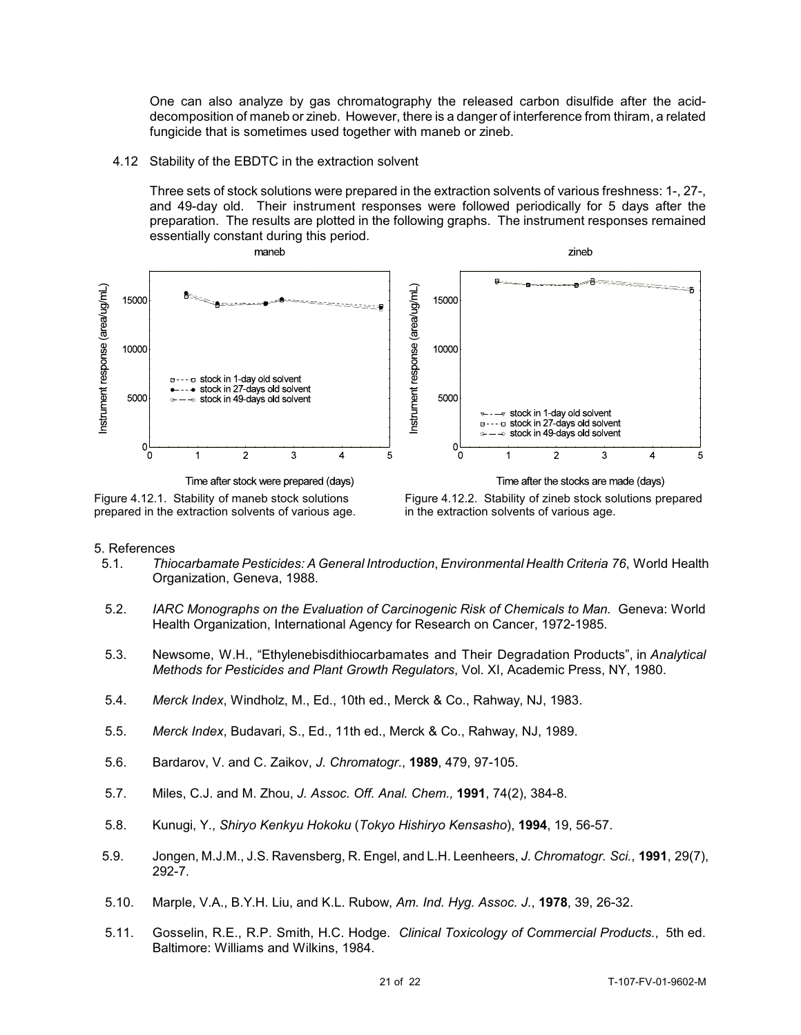One can also analyze by gas chromatography the released carbon disulfide after the aciddecomposition of maneb or zineb. However, there is a danger of interference from thiram, a related fungicide that is sometimes used together with maneb or zineb.

#### 4.12 Stability of the EBDTC in the extraction solvent

Three sets of stock solutions were prepared in the extraction solvents of various freshness: 1-, 27-, and 49-day old. Their instrument responses were followed periodically for 5 days after the preparation. The results are plotted in the following graphs. The instrument responses remained essentially constant during this period.



Figure 4.12.1. Stability of maneb stock solutions prepared in the extraction solvents of various age.

Figure 4.12.2. Stability of zineb stock solutions prepared in the extraction solvents of various age.

#### 5. References

- 5.1. *Thiocarbamate Pesticides: A General Introduction*, *Environmental Health Criteria 76*, World Health Organization, Geneva, 1988.
- 5.2. *IARC Monographs on the Evaluation of Carcinogenic Risk of Chemicals to Man.* Geneva: World Health Organization, International Agency for Research on Cancer, 1972-1985.
- 5.3. Newsome, W.H., "Ethylenebisdithiocarbamates and Their Degradation Products", in *Analytical Methods for Pesticides and Plant Growth Regulators*, Vol. XI, Academic Press, NY, 1980.
- 5.4. *Merck Index*, Windholz, M., Ed., 10th ed., Merck & Co., Rahway, NJ, 1983.
- 5.5. *Merck Index*, Budavari, S., Ed., 11th ed., Merck & Co., Rahway, NJ, 1989.
- 5.6. Bardarov, V. and C. Zaikov, *J. Chromatogr.*, **1989**, 479, 97-105.
- 5.7. Miles, C.J. and M. Zhou, *J. Assoc. Off. Anal. Chem.,* **1991**, 74(2), 384-8.
- 5.8. Kunugi, Y., *Shiryo Kenkyu Hokoku* (*Tokyo Hishiryo Kensasho*), **1994**, 19, 56-57.
- 5.9. Jongen, M.J.M., J.S. Ravensberg, R. Engel, and L.H. Leenheers, *J. Chromatogr. Sci.*, **1991**, 29(7), 292-7.
- 5.10. Marple, V.A., B.Y.H. Liu, and K.L. Rubow, *Am. Ind. Hyg. Assoc. J.*, **1978**, 39, 26-32.
- 5.11. Gosselin, R.E., R.P. Smith, H.C. Hodge. *Clinical Toxicology of Commercial Products.*, 5th ed. Baltimore: Williams and Wilkins, 1984.